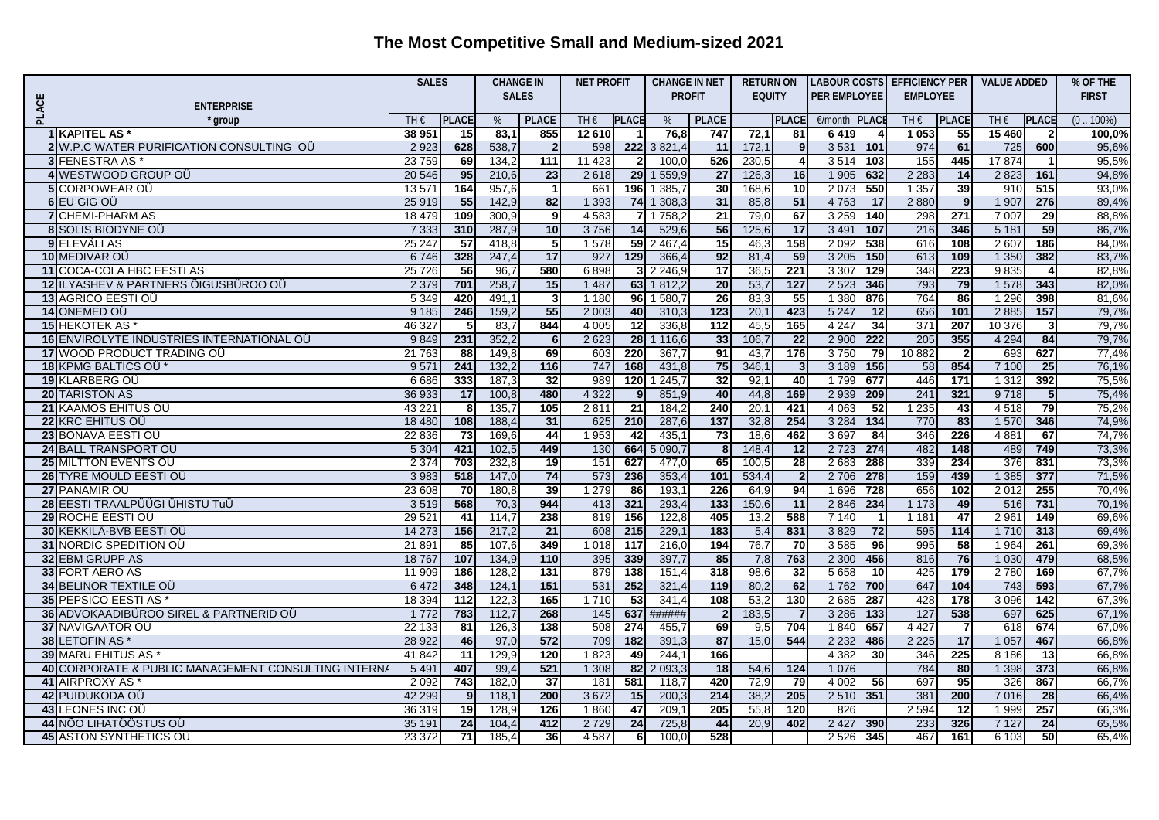| <b>SALES</b><br><b>PROFIT</b><br><b>EQUITY</b><br><b>PER EMPLOYEE</b><br><b>EMPLOYEE</b><br><b>FIRST</b><br>PLACE<br><b>ENTERPRISE</b><br>TH€<br><b>PLACE</b><br><b>PLACE</b><br>TH $\epsilon$<br><b>PLACE</b><br><b>PLACE</b><br><b>PLACE</b><br><b>PLAC</b><br>TH€<br><b>PLACE</b><br>TH€<br><b>PLACE</b><br>.100%)<br>%<br>%<br>€/month<br>group<br>0)<br>1 KAPITEL AS<br>38 951<br>83,<br>12 610<br>76,8<br>747<br>72,1<br>15 460<br>15 <sup>1</sup><br>855<br>6419<br>1 0 5 3<br>55<br>100,0%<br>81<br>2 9 2 3<br>628<br>538,7<br>598<br>222<br>3 8 21,4<br>11<br>172,1<br>3 5 3 1<br>974<br>95,6%<br>2 W.P.C WATER PURIFICATION CONSULTING OU<br>9<br>101<br>61<br>725<br>600<br>$\overline{2}$<br>11 4 23<br>17874<br><b>3 FENESTRA AS*</b><br>23759<br>134,2<br>111<br>100,0<br>526<br>230,5<br>$\overline{\mathbf{4}}$<br>3514<br>155<br>445<br>95,5%<br>69<br>$\mathbf{2}$<br>103<br>$\mathbf{1}$<br>4 WESTWOOD GROUP OU<br>95<br>210,6<br>$\overline{23}$<br>2618<br>29<br>1559,9<br>$\overline{27}$<br>126,3<br>16<br>1 9 0 5<br>632<br>2 2 8 3<br>2 8 2 3<br>161<br>94,8%<br>20 546<br>14<br><b>5</b> CORPOWEAR OU<br>13 571<br>164<br>957,6<br>661<br>196<br>385.<br>30<br>168,6<br>10<br>2073<br>550<br>1 3 5 7<br>39<br>515<br>93,0%<br>$\overline{1}$<br>91 <sub>C</sub><br>1 3 9 3<br>51<br>6 EU GIG OU<br>25 919<br>55<br>142,9<br>82<br>74<br>1 308,3<br>31<br>85,8<br>4763<br>2880<br>1 907<br>276<br>89,4%<br>17<br>9<br>4 5 8 3<br>1758,2<br>$\overline{21}$<br>67<br>3 2 5 9<br>298<br>271<br>7 007<br><b>7</b> CHEMI-PHARM AS<br>18 479<br>109<br>300,9<br>79,0<br>140<br>29<br>88.8%<br>9<br><b>8 SOLIS BIODYNE OU</b><br>7 3 3 3<br>287,9<br>10<br>3756<br>14<br>529,6<br>56<br>125,6<br>17<br>3 4 9 1<br>107<br>216<br>346<br>5181<br>59<br>86,7%<br>310<br>9 ELEVÂLI AS<br>25 247<br>1578<br>59<br>2467,4<br>$\overline{15}$<br>158<br>2 0 9 2<br>538<br>616<br>2 607<br>57<br>418,8<br>5<br>46,3<br>108<br>186<br>84,0%<br>10 MEDIVAR OÜ<br>6746<br>328<br>247,4<br>17<br>927<br>129<br>366,4<br>92<br>81,4<br>59<br>3 2 0 5<br>150<br>613<br>1 3 5 0<br>382<br>83,7%<br>109<br>221<br>11 COCA-COLA HBC EESTI AS<br>25 7 26<br>56<br>96,7<br>580<br>6898<br>2 2 4 6 , 9<br>$\overline{17}$<br>36,5<br>3 3 0 7<br>129<br>348<br>223<br>9835<br>82,8%<br>3<br>4<br>12 ILYASHEV & PARTNERS ÖIGUSBÜROO OÜ<br>2 5 2 3<br>793<br>2 3 7 9<br>701<br>258,7<br>15<br>1 4 8 7<br>63<br>1812,2<br>$\overline{20}$<br>53,7<br>127<br>346<br>79<br>1 578<br>82,0%<br>343<br><b>13 AGRICO EESTI OÜ</b><br>1 1 8 0<br>1 580,7<br>26<br>55<br>1 3 8 0<br>764<br>86<br>5 3 4 9<br>420<br>491.1<br>-3<br>96 <sub>l</sub><br>83,3<br>876<br>1 2 9 6<br>398<br>81,6%<br>55<br>656<br>79,7%<br>14 ONEMED OÜ<br>9 1 8 5<br>246<br>159,2<br>2 0 0 3<br>40<br>123<br>20,1<br>423<br>5 2 4 7<br>101<br>2885<br>157<br>310,3<br>12<br>844<br>12<br>$\overline{112}$<br>165<br>$\overline{34}$<br>371<br>15 HEKOTEK AS<br>46 327<br>83,7<br>4 0 0 5<br>336,8<br>45,5<br>4 2 4 7<br>207<br>10 376<br>79,7%<br>5<br>$\overline{\mathbf{3}}$<br>355<br>16 ENVIROLYTE INDUSTRIES INTERNATIONAL OU<br>352,2<br>2 6 23<br>28<br>33<br>$\overline{22}$<br>2 9 0 0<br>222<br>205<br>79,7%<br>9849<br>231<br>116,6<br>106,<br>4 2 9 4<br>84<br>- 6<br>17 WOOD PRODUCT TRADING OU<br>220<br>91<br>176<br>10 882<br>627<br>21 763<br>149,8<br>69<br>603<br>367,7<br>43,7<br>3750<br>79<br>693<br>77,4%<br>88<br>$\overline{\mathbf{2}}$<br>747<br>18 KPMG BALTICS OU*<br>9571<br>241<br>132,2<br>116<br>168<br>431,8<br>75<br>346,1<br>$\mathbf{3}$<br>3 1 8 9<br>156<br>58<br>854<br>7 100<br>25<br>76,1%<br>32<br>989<br>120<br>245,7<br>32<br>92,1<br>40<br>446<br>19 KLARBERG OU<br>6686<br>333<br>187.3<br>1799<br>677<br>171<br>1 3 1 2<br>392<br>75,5%<br>4 3 2 2<br>169<br>321<br><b>20 TARISTON AS</b><br>36 933<br>17<br>100,8<br>480<br>851,9<br>40<br>44,8<br>2 9 3 9<br>209<br>241<br>9718<br>75,4%<br>9<br>5<br>21 KAAMOS EHITUS OÜ<br>43 221<br>135,<br>105<br>2811<br>$\overline{21}$<br>240<br>20,1<br>421<br>4 0 6 3<br>52<br>1 2 3 5<br>4518<br>75,2%<br>184,2<br>43<br>79<br>8<br>770<br>22 KRC EHITUS OÜ<br>18 480<br>108<br>188,4<br>31<br>625<br>210<br>287,6<br>$\overline{137}$<br>32,8<br>254<br>3 2 8 4<br>134<br>83<br>1 570<br>346<br>74,9%<br>1 953<br>42<br>$\overline{73}$<br>3697<br>346<br>226<br>74,7%<br>23 BONAVA EESTI OÜ<br>22 836<br>73<br>169,6<br>44<br>435,1<br>18,6<br>462<br>84<br>4 8 8 1<br>67<br>24 BALL TRANSPORT OU<br>5 3 0 4<br>421<br>449<br>130<br>664<br>5090,7<br>148,4<br>$\overline{12}$<br>2 7 2 3<br>274<br>482<br>148<br>489<br>73,3%<br>102,5<br>8 <sup>1</sup><br>749<br>151<br>339<br>25 MILTTON EVENTS OU<br>2 3 7 4<br>232,8<br>19<br>627<br>477,0<br>65<br>100,5<br>28<br>2683<br>288<br>234<br>376<br>831<br>73,3%<br>703<br>26 TYRE MOULD EESTI OU<br>147,0<br>74<br>573<br>353,4<br>534,4<br>2 7 0 6<br>159<br>1 3 8 5<br>71,5%<br>3 9 8 3<br>518<br>236<br>101<br>$\overline{2}$<br>278<br>439<br>377<br>27 PANAMIR OÜ<br>23 608<br>39<br>1 2 7 9<br>226<br>64,9<br>94<br>1696<br>728<br>656<br>2 0 1 2<br>70,4%<br>70<br>180,8<br>86<br>193,1<br>102<br>255<br>28 EESTI TRAALPÜÜGI ÜHISTU TuÜ<br>568<br>944<br>321<br>293,4<br>133<br>150,6<br>11<br>234<br>70,1%<br>3519<br>70,3<br>413<br>2846<br>1 1 7 3<br>49<br>516<br>731<br>29 ROCHE EESTI OÜ<br>29 5 21<br>41<br>114,7<br>238<br>819<br>156<br>122,8<br>405<br>13,2<br>588<br>7 1 4 0<br>1 1 8 1<br>47<br>2 9 61<br>69,6%<br>149<br>30 KEKKILÄ-BVB EESTI OÜ<br>14 273<br>156<br>217,2<br>$\overline{21}$<br>608<br>215<br>229,1<br>183<br>831<br>3829<br>$\overline{72}$<br>595<br>114<br>313<br>69,4%<br>5,4<br>1 7 1 0<br>31 NORDIC SPEDITION OU<br>85<br>107,6<br>349<br>1 0 1 8<br>117<br>216,0<br>194<br>76,7<br>70<br>3585<br>96<br>995<br>58<br>69,3%<br>21 891<br>1 9 6 4<br>261<br>110<br>395<br>339<br>397,7<br>85<br>763<br>816<br>76<br>68,5%<br>32 EBM GRUPP AS<br>18767<br>107<br>134,9<br>7,8<br>2 3 0 0<br>456<br>1 0 3 0<br>479<br>33 FORT AERO AS<br>128.2<br>879<br>138<br>318<br>98,6<br>32<br>5 6 5 8<br>11 909<br>186<br>131<br>151,4<br>10<br>425<br>179<br>2780<br>169<br>67,7%<br>252<br>119<br>62<br>647<br>348<br>124,1<br>151<br>531<br>321,4<br>700<br>104<br>593<br><b>34 BELINOR TEXTILE OU</b><br>6472<br>80.2<br>1762<br>743<br>67,7%<br>$\overline{53}$<br><b>35 PEPSICO EESTI AS</b><br>18 3 94<br>122.3<br>165<br>1710<br>341,4<br>108<br>53,2<br>130<br>2685<br>428<br>178<br>3 0 9 6<br>112<br>287<br>142<br>67,3%<br>268<br>637<br>3 2 8 6<br>127<br>538<br>36 ADVOKAADIBÜROO SIREL & PARTNERID OÜ<br>1 7 7 2<br>783<br>112,7<br>145<br>######<br>183,5<br>$\overline{7}$<br>133<br>697<br>625<br>67,1%<br>$\overline{2}$<br>508<br>37 NAVIGAATOR OÜ<br>22 133<br>126,3<br>138<br>274<br>69<br>704<br>1840<br>657<br>4 4 2 7<br>618<br>674<br>67.0%<br>81<br>455,7<br>9,5<br>7<br>38 LETOFIN AS *<br>28 922<br>46<br>97,0<br>572<br>709<br>182<br>391,3<br>87<br>15,0<br>544<br>2 2 3 2<br>2 2 2 5<br>17<br>1 0 5 7<br>66,8%<br>486<br>467<br>120<br>1823<br>49<br>225<br><b>39 MARU EHITUS AS</b><br>41 842<br>11<br>129,9<br>244,1<br>166<br>4 3 8 2<br>30<br>346<br>8 1 8 6<br>13<br>66,8%<br>784<br>40 CORPORATE & PUBLIC MANAGEMENT CONSULTING INTERN<br>5 4 9 1<br>407<br>99,4<br>521<br>1 3 0 8<br>82<br>2 093,3<br>18<br>1 0 7 6<br>80<br>1 3 9 8<br>373<br>66,8%<br>54,6<br>124<br>182,0<br>41 AIRPROXY AS<br>2 0 9 2<br>743<br>37<br>181<br>581<br>420<br>72,9<br>79<br>4 0 0 2<br>56<br>697<br>95<br>326<br>867<br>66,7%<br>118,7<br>3672<br>381<br>42 PUIDUKODA OÜ<br>42 299<br>118,7<br>200<br>15<br>200,3<br>214<br>38,2<br>205<br>2510<br>351<br>200<br>7 0 1 6<br>28<br>66,4%<br>9<br>36 319<br>128,9<br>126<br>47<br>205<br>55,8<br>2 5 9 4<br>$\overline{12}$<br>257<br>43 LEONES INC OU<br>19<br>1860<br>209.7<br>120<br>826<br>1 9 9 9<br>66,3%<br>44 NÕO LIHATÖÖSTUS OÜ<br>24<br>104,4<br>2729<br>24<br>44<br>20,9<br>402<br>2 4 2 7<br>233<br>326<br>65,5%<br>35 191<br>412<br>725,8<br>390<br>7 1 2 7<br>24<br>528<br><b>45 ASTON SYNTHETICS OU</b><br>23 372<br>36<br>4587<br>2 5 2 6<br>467<br>50<br>71<br>185,4<br>6<br>100.0<br>345<br>161<br>6 103<br>65,4% |  |  | <b>SALES</b> |  | <b>CHANGE IN</b> |  | <b>NET PROFIT</b> |  | <b>CHANGE IN NET</b> |  | <b>RETURN ON</b> |  |  | <b>LABOUR COSTS EFFICIENCY PER</b> |  | <b>VALUE ADDED</b> |  | % OF THE |
|--------------------------------------------------------------------------------------------------------------------------------------------------------------------------------------------------------------------------------------------------------------------------------------------------------------------------------------------------------------------------------------------------------------------------------------------------------------------------------------------------------------------------------------------------------------------------------------------------------------------------------------------------------------------------------------------------------------------------------------------------------------------------------------------------------------------------------------------------------------------------------------------------------------------------------------------------------------------------------------------------------------------------------------------------------------------------------------------------------------------------------------------------------------------------------------------------------------------------------------------------------------------------------------------------------------------------------------------------------------------------------------------------------------------------------------------------------------------------------------------------------------------------------------------------------------------------------------------------------------------------------------------------------------------------------------------------------------------------------------------------------------------------------------------------------------------------------------------------------------------------------------------------------------------------------------------------------------------------------------------------------------------------------------------------------------------------------------------------------------------------------------------------------------------------------------------------------------------------------------------------------------------------------------------------------------------------------------------------------------------------------------------------------------------------------------------------------------------------------------------------------------------------------------------------------------------------------------------------------------------------------------------------------------------------------------------------------------------------------------------------------------------------------------------------------------------------------------------------------------------------------------------------------------------------------------------------------------------------------------------------------------------------------------------------------------------------------------------------------------------------------------------------------------------------------------------------------------------------------------------------------------------------------------------------------------------------------------------------------------------------------------------------------------------------------------------------------------------------------------------------------------------------------------------------------------------------------------------------------------------------------------------------------------------------------------------------------------------------------------------------------------------------------------------------------------------------------------------------------------------------------------------------------------------------------------------------------------------------------------------------------------------------------------------------------------------------------------------------------------------------------------------------------------------------------------------------------------------------------------------------------------------------------------------------------------------------------------------------------------------------------------------------------------------------------------------------------------------------------------------------------------------------------------------------------------------------------------------------------------------------------------------------------------------------------------------------------------------------------------------------------------------------------------------------------------------------------------------------------------------------------------------------------------------------------------------------------------------------------------------------------------------------------------------------------------------------------------------------------------------------------------------------------------------------------------------------------------------------------------------------------------------------------------------------------------------------------------------------------------------------------------------------------------------------------------------------------------------------------------------------------------------------------------------------------------------------------------------------------------------------------------------------------------------------------------------------------------------------------------------------------------------------------------------------------------------------------------------------------------------------------------------------------------------------------------------------------------------------------------------------------------------------------------------------------------------------------------------------------------------------------------------------------------------------------------------------------------------------------------------------------------------------------------------------------------------------------------------------------------------------------------------------------------------------------------------------------------------------------------------------------------------------------------------------------------------------------------------------------------------------------------------------------------------------------------------------------------------------------------------------------------------------------------------------------------------------------------------------------------------------------------------------------------------------------------------------------------------------------------------------------------------------------------------------------------------------------------------------------------------------------------------------------------------------------------------------------------------------------------------------------------------------------------------------------------------------------------------------------------------------------------------------------------------------------------------------------------------------------------------------------------------------------------------------------------------------------------------------------------------------------------------------------------------------------------------------------------------------------------------------------------------------------------------------------------------------------------------------------------------------------------------------------------------------------------------------------------------------------------------------------------------------------------------------------------------------------------------------------------------------------------------------------|--|--|--------------|--|------------------|--|-------------------|--|----------------------|--|------------------|--|--|------------------------------------|--|--------------------|--|----------|
|                                                                                                                                                                                                                                                                                                                                                                                                                                                                                                                                                                                                                                                                                                                                                                                                                                                                                                                                                                                                                                                                                                                                                                                                                                                                                                                                                                                                                                                                                                                                                                                                                                                                                                                                                                                                                                                                                                                                                                                                                                                                                                                                                                                                                                                                                                                                                                                                                                                                                                                                                                                                                                                                                                                                                                                                                                                                                                                                                                                                                                                                                                                                                                                                                                                                                                                                                                                                                                                                                                                                                                                                                                                                                                                                                                                                                                                                                                                                                                                                                                                                                                                                                                                                                                                                                                                                                                                                                                                                                                                                                                                                                                                                                                                                                                                                                                                                                                                                                                                                                                                                                                                                                                                                                                                                                                                                                                                                                                                                                                                                                                                                                                                                                                                                                                                                                                                                                                                                                                                                                                                                                                                                                                                                                                                                                                                                                                                                                                                                                                                                                                                                                                                                                                                                                                                                                                                                                                                                                                                                                                                                                                                                                                                                                                                                                                                                                                                                                                                                                                                                                                                                                                                                                                                                                                                                                                                                                                                                                                                                                                                                                                                                                        |  |  |              |  |                  |  |                   |  |                      |  |                  |  |  |                                    |  |                    |  |          |
|                                                                                                                                                                                                                                                                                                                                                                                                                                                                                                                                                                                                                                                                                                                                                                                                                                                                                                                                                                                                                                                                                                                                                                                                                                                                                                                                                                                                                                                                                                                                                                                                                                                                                                                                                                                                                                                                                                                                                                                                                                                                                                                                                                                                                                                                                                                                                                                                                                                                                                                                                                                                                                                                                                                                                                                                                                                                                                                                                                                                                                                                                                                                                                                                                                                                                                                                                                                                                                                                                                                                                                                                                                                                                                                                                                                                                                                                                                                                                                                                                                                                                                                                                                                                                                                                                                                                                                                                                                                                                                                                                                                                                                                                                                                                                                                                                                                                                                                                                                                                                                                                                                                                                                                                                                                                                                                                                                                                                                                                                                                                                                                                                                                                                                                                                                                                                                                                                                                                                                                                                                                                                                                                                                                                                                                                                                                                                                                                                                                                                                                                                                                                                                                                                                                                                                                                                                                                                                                                                                                                                                                                                                                                                                                                                                                                                                                                                                                                                                                                                                                                                                                                                                                                                                                                                                                                                                                                                                                                                                                                                                                                                                                                                        |  |  |              |  |                  |  |                   |  |                      |  |                  |  |  |                                    |  |                    |  |          |
|                                                                                                                                                                                                                                                                                                                                                                                                                                                                                                                                                                                                                                                                                                                                                                                                                                                                                                                                                                                                                                                                                                                                                                                                                                                                                                                                                                                                                                                                                                                                                                                                                                                                                                                                                                                                                                                                                                                                                                                                                                                                                                                                                                                                                                                                                                                                                                                                                                                                                                                                                                                                                                                                                                                                                                                                                                                                                                                                                                                                                                                                                                                                                                                                                                                                                                                                                                                                                                                                                                                                                                                                                                                                                                                                                                                                                                                                                                                                                                                                                                                                                                                                                                                                                                                                                                                                                                                                                                                                                                                                                                                                                                                                                                                                                                                                                                                                                                                                                                                                                                                                                                                                                                                                                                                                                                                                                                                                                                                                                                                                                                                                                                                                                                                                                                                                                                                                                                                                                                                                                                                                                                                                                                                                                                                                                                                                                                                                                                                                                                                                                                                                                                                                                                                                                                                                                                                                                                                                                                                                                                                                                                                                                                                                                                                                                                                                                                                                                                                                                                                                                                                                                                                                                                                                                                                                                                                                                                                                                                                                                                                                                                                                                        |  |  |              |  |                  |  |                   |  |                      |  |                  |  |  |                                    |  |                    |  |          |
|                                                                                                                                                                                                                                                                                                                                                                                                                                                                                                                                                                                                                                                                                                                                                                                                                                                                                                                                                                                                                                                                                                                                                                                                                                                                                                                                                                                                                                                                                                                                                                                                                                                                                                                                                                                                                                                                                                                                                                                                                                                                                                                                                                                                                                                                                                                                                                                                                                                                                                                                                                                                                                                                                                                                                                                                                                                                                                                                                                                                                                                                                                                                                                                                                                                                                                                                                                                                                                                                                                                                                                                                                                                                                                                                                                                                                                                                                                                                                                                                                                                                                                                                                                                                                                                                                                                                                                                                                                                                                                                                                                                                                                                                                                                                                                                                                                                                                                                                                                                                                                                                                                                                                                                                                                                                                                                                                                                                                                                                                                                                                                                                                                                                                                                                                                                                                                                                                                                                                                                                                                                                                                                                                                                                                                                                                                                                                                                                                                                                                                                                                                                                                                                                                                                                                                                                                                                                                                                                                                                                                                                                                                                                                                                                                                                                                                                                                                                                                                                                                                                                                                                                                                                                                                                                                                                                                                                                                                                                                                                                                                                                                                                                                        |  |  |              |  |                  |  |                   |  |                      |  |                  |  |  |                                    |  |                    |  |          |
|                                                                                                                                                                                                                                                                                                                                                                                                                                                                                                                                                                                                                                                                                                                                                                                                                                                                                                                                                                                                                                                                                                                                                                                                                                                                                                                                                                                                                                                                                                                                                                                                                                                                                                                                                                                                                                                                                                                                                                                                                                                                                                                                                                                                                                                                                                                                                                                                                                                                                                                                                                                                                                                                                                                                                                                                                                                                                                                                                                                                                                                                                                                                                                                                                                                                                                                                                                                                                                                                                                                                                                                                                                                                                                                                                                                                                                                                                                                                                                                                                                                                                                                                                                                                                                                                                                                                                                                                                                                                                                                                                                                                                                                                                                                                                                                                                                                                                                                                                                                                                                                                                                                                                                                                                                                                                                                                                                                                                                                                                                                                                                                                                                                                                                                                                                                                                                                                                                                                                                                                                                                                                                                                                                                                                                                                                                                                                                                                                                                                                                                                                                                                                                                                                                                                                                                                                                                                                                                                                                                                                                                                                                                                                                                                                                                                                                                                                                                                                                                                                                                                                                                                                                                                                                                                                                                                                                                                                                                                                                                                                                                                                                                                                        |  |  |              |  |                  |  |                   |  |                      |  |                  |  |  |                                    |  |                    |  |          |
|                                                                                                                                                                                                                                                                                                                                                                                                                                                                                                                                                                                                                                                                                                                                                                                                                                                                                                                                                                                                                                                                                                                                                                                                                                                                                                                                                                                                                                                                                                                                                                                                                                                                                                                                                                                                                                                                                                                                                                                                                                                                                                                                                                                                                                                                                                                                                                                                                                                                                                                                                                                                                                                                                                                                                                                                                                                                                                                                                                                                                                                                                                                                                                                                                                                                                                                                                                                                                                                                                                                                                                                                                                                                                                                                                                                                                                                                                                                                                                                                                                                                                                                                                                                                                                                                                                                                                                                                                                                                                                                                                                                                                                                                                                                                                                                                                                                                                                                                                                                                                                                                                                                                                                                                                                                                                                                                                                                                                                                                                                                                                                                                                                                                                                                                                                                                                                                                                                                                                                                                                                                                                                                                                                                                                                                                                                                                                                                                                                                                                                                                                                                                                                                                                                                                                                                                                                                                                                                                                                                                                                                                                                                                                                                                                                                                                                                                                                                                                                                                                                                                                                                                                                                                                                                                                                                                                                                                                                                                                                                                                                                                                                                                                        |  |  |              |  |                  |  |                   |  |                      |  |                  |  |  |                                    |  |                    |  |          |
|                                                                                                                                                                                                                                                                                                                                                                                                                                                                                                                                                                                                                                                                                                                                                                                                                                                                                                                                                                                                                                                                                                                                                                                                                                                                                                                                                                                                                                                                                                                                                                                                                                                                                                                                                                                                                                                                                                                                                                                                                                                                                                                                                                                                                                                                                                                                                                                                                                                                                                                                                                                                                                                                                                                                                                                                                                                                                                                                                                                                                                                                                                                                                                                                                                                                                                                                                                                                                                                                                                                                                                                                                                                                                                                                                                                                                                                                                                                                                                                                                                                                                                                                                                                                                                                                                                                                                                                                                                                                                                                                                                                                                                                                                                                                                                                                                                                                                                                                                                                                                                                                                                                                                                                                                                                                                                                                                                                                                                                                                                                                                                                                                                                                                                                                                                                                                                                                                                                                                                                                                                                                                                                                                                                                                                                                                                                                                                                                                                                                                                                                                                                                                                                                                                                                                                                                                                                                                                                                                                                                                                                                                                                                                                                                                                                                                                                                                                                                                                                                                                                                                                                                                                                                                                                                                                                                                                                                                                                                                                                                                                                                                                                                                        |  |  |              |  |                  |  |                   |  |                      |  |                  |  |  |                                    |  |                    |  |          |
|                                                                                                                                                                                                                                                                                                                                                                                                                                                                                                                                                                                                                                                                                                                                                                                                                                                                                                                                                                                                                                                                                                                                                                                                                                                                                                                                                                                                                                                                                                                                                                                                                                                                                                                                                                                                                                                                                                                                                                                                                                                                                                                                                                                                                                                                                                                                                                                                                                                                                                                                                                                                                                                                                                                                                                                                                                                                                                                                                                                                                                                                                                                                                                                                                                                                                                                                                                                                                                                                                                                                                                                                                                                                                                                                                                                                                                                                                                                                                                                                                                                                                                                                                                                                                                                                                                                                                                                                                                                                                                                                                                                                                                                                                                                                                                                                                                                                                                                                                                                                                                                                                                                                                                                                                                                                                                                                                                                                                                                                                                                                                                                                                                                                                                                                                                                                                                                                                                                                                                                                                                                                                                                                                                                                                                                                                                                                                                                                                                                                                                                                                                                                                                                                                                                                                                                                                                                                                                                                                                                                                                                                                                                                                                                                                                                                                                                                                                                                                                                                                                                                                                                                                                                                                                                                                                                                                                                                                                                                                                                                                                                                                                                                                        |  |  |              |  |                  |  |                   |  |                      |  |                  |  |  |                                    |  |                    |  |          |
|                                                                                                                                                                                                                                                                                                                                                                                                                                                                                                                                                                                                                                                                                                                                                                                                                                                                                                                                                                                                                                                                                                                                                                                                                                                                                                                                                                                                                                                                                                                                                                                                                                                                                                                                                                                                                                                                                                                                                                                                                                                                                                                                                                                                                                                                                                                                                                                                                                                                                                                                                                                                                                                                                                                                                                                                                                                                                                                                                                                                                                                                                                                                                                                                                                                                                                                                                                                                                                                                                                                                                                                                                                                                                                                                                                                                                                                                                                                                                                                                                                                                                                                                                                                                                                                                                                                                                                                                                                                                                                                                                                                                                                                                                                                                                                                                                                                                                                                                                                                                                                                                                                                                                                                                                                                                                                                                                                                                                                                                                                                                                                                                                                                                                                                                                                                                                                                                                                                                                                                                                                                                                                                                                                                                                                                                                                                                                                                                                                                                                                                                                                                                                                                                                                                                                                                                                                                                                                                                                                                                                                                                                                                                                                                                                                                                                                                                                                                                                                                                                                                                                                                                                                                                                                                                                                                                                                                                                                                                                                                                                                                                                                                                                        |  |  |              |  |                  |  |                   |  |                      |  |                  |  |  |                                    |  |                    |  |          |
|                                                                                                                                                                                                                                                                                                                                                                                                                                                                                                                                                                                                                                                                                                                                                                                                                                                                                                                                                                                                                                                                                                                                                                                                                                                                                                                                                                                                                                                                                                                                                                                                                                                                                                                                                                                                                                                                                                                                                                                                                                                                                                                                                                                                                                                                                                                                                                                                                                                                                                                                                                                                                                                                                                                                                                                                                                                                                                                                                                                                                                                                                                                                                                                                                                                                                                                                                                                                                                                                                                                                                                                                                                                                                                                                                                                                                                                                                                                                                                                                                                                                                                                                                                                                                                                                                                                                                                                                                                                                                                                                                                                                                                                                                                                                                                                                                                                                                                                                                                                                                                                                                                                                                                                                                                                                                                                                                                                                                                                                                                                                                                                                                                                                                                                                                                                                                                                                                                                                                                                                                                                                                                                                                                                                                                                                                                                                                                                                                                                                                                                                                                                                                                                                                                                                                                                                                                                                                                                                                                                                                                                                                                                                                                                                                                                                                                                                                                                                                                                                                                                                                                                                                                                                                                                                                                                                                                                                                                                                                                                                                                                                                                                                                        |  |  |              |  |                  |  |                   |  |                      |  |                  |  |  |                                    |  |                    |  |          |
|                                                                                                                                                                                                                                                                                                                                                                                                                                                                                                                                                                                                                                                                                                                                                                                                                                                                                                                                                                                                                                                                                                                                                                                                                                                                                                                                                                                                                                                                                                                                                                                                                                                                                                                                                                                                                                                                                                                                                                                                                                                                                                                                                                                                                                                                                                                                                                                                                                                                                                                                                                                                                                                                                                                                                                                                                                                                                                                                                                                                                                                                                                                                                                                                                                                                                                                                                                                                                                                                                                                                                                                                                                                                                                                                                                                                                                                                                                                                                                                                                                                                                                                                                                                                                                                                                                                                                                                                                                                                                                                                                                                                                                                                                                                                                                                                                                                                                                                                                                                                                                                                                                                                                                                                                                                                                                                                                                                                                                                                                                                                                                                                                                                                                                                                                                                                                                                                                                                                                                                                                                                                                                                                                                                                                                                                                                                                                                                                                                                                                                                                                                                                                                                                                                                                                                                                                                                                                                                                                                                                                                                                                                                                                                                                                                                                                                                                                                                                                                                                                                                                                                                                                                                                                                                                                                                                                                                                                                                                                                                                                                                                                                                                                        |  |  |              |  |                  |  |                   |  |                      |  |                  |  |  |                                    |  |                    |  |          |
|                                                                                                                                                                                                                                                                                                                                                                                                                                                                                                                                                                                                                                                                                                                                                                                                                                                                                                                                                                                                                                                                                                                                                                                                                                                                                                                                                                                                                                                                                                                                                                                                                                                                                                                                                                                                                                                                                                                                                                                                                                                                                                                                                                                                                                                                                                                                                                                                                                                                                                                                                                                                                                                                                                                                                                                                                                                                                                                                                                                                                                                                                                                                                                                                                                                                                                                                                                                                                                                                                                                                                                                                                                                                                                                                                                                                                                                                                                                                                                                                                                                                                                                                                                                                                                                                                                                                                                                                                                                                                                                                                                                                                                                                                                                                                                                                                                                                                                                                                                                                                                                                                                                                                                                                                                                                                                                                                                                                                                                                                                                                                                                                                                                                                                                                                                                                                                                                                                                                                                                                                                                                                                                                                                                                                                                                                                                                                                                                                                                                                                                                                                                                                                                                                                                                                                                                                                                                                                                                                                                                                                                                                                                                                                                                                                                                                                                                                                                                                                                                                                                                                                                                                                                                                                                                                                                                                                                                                                                                                                                                                                                                                                                                                        |  |  |              |  |                  |  |                   |  |                      |  |                  |  |  |                                    |  |                    |  |          |
|                                                                                                                                                                                                                                                                                                                                                                                                                                                                                                                                                                                                                                                                                                                                                                                                                                                                                                                                                                                                                                                                                                                                                                                                                                                                                                                                                                                                                                                                                                                                                                                                                                                                                                                                                                                                                                                                                                                                                                                                                                                                                                                                                                                                                                                                                                                                                                                                                                                                                                                                                                                                                                                                                                                                                                                                                                                                                                                                                                                                                                                                                                                                                                                                                                                                                                                                                                                                                                                                                                                                                                                                                                                                                                                                                                                                                                                                                                                                                                                                                                                                                                                                                                                                                                                                                                                                                                                                                                                                                                                                                                                                                                                                                                                                                                                                                                                                                                                                                                                                                                                                                                                                                                                                                                                                                                                                                                                                                                                                                                                                                                                                                                                                                                                                                                                                                                                                                                                                                                                                                                                                                                                                                                                                                                                                                                                                                                                                                                                                                                                                                                                                                                                                                                                                                                                                                                                                                                                                                                                                                                                                                                                                                                                                                                                                                                                                                                                                                                                                                                                                                                                                                                                                                                                                                                                                                                                                                                                                                                                                                                                                                                                                                        |  |  |              |  |                  |  |                   |  |                      |  |                  |  |  |                                    |  |                    |  |          |
|                                                                                                                                                                                                                                                                                                                                                                                                                                                                                                                                                                                                                                                                                                                                                                                                                                                                                                                                                                                                                                                                                                                                                                                                                                                                                                                                                                                                                                                                                                                                                                                                                                                                                                                                                                                                                                                                                                                                                                                                                                                                                                                                                                                                                                                                                                                                                                                                                                                                                                                                                                                                                                                                                                                                                                                                                                                                                                                                                                                                                                                                                                                                                                                                                                                                                                                                                                                                                                                                                                                                                                                                                                                                                                                                                                                                                                                                                                                                                                                                                                                                                                                                                                                                                                                                                                                                                                                                                                                                                                                                                                                                                                                                                                                                                                                                                                                                                                                                                                                                                                                                                                                                                                                                                                                                                                                                                                                                                                                                                                                                                                                                                                                                                                                                                                                                                                                                                                                                                                                                                                                                                                                                                                                                                                                                                                                                                                                                                                                                                                                                                                                                                                                                                                                                                                                                                                                                                                                                                                                                                                                                                                                                                                                                                                                                                                                                                                                                                                                                                                                                                                                                                                                                                                                                                                                                                                                                                                                                                                                                                                                                                                                                                        |  |  |              |  |                  |  |                   |  |                      |  |                  |  |  |                                    |  |                    |  |          |
|                                                                                                                                                                                                                                                                                                                                                                                                                                                                                                                                                                                                                                                                                                                                                                                                                                                                                                                                                                                                                                                                                                                                                                                                                                                                                                                                                                                                                                                                                                                                                                                                                                                                                                                                                                                                                                                                                                                                                                                                                                                                                                                                                                                                                                                                                                                                                                                                                                                                                                                                                                                                                                                                                                                                                                                                                                                                                                                                                                                                                                                                                                                                                                                                                                                                                                                                                                                                                                                                                                                                                                                                                                                                                                                                                                                                                                                                                                                                                                                                                                                                                                                                                                                                                                                                                                                                                                                                                                                                                                                                                                                                                                                                                                                                                                                                                                                                                                                                                                                                                                                                                                                                                                                                                                                                                                                                                                                                                                                                                                                                                                                                                                                                                                                                                                                                                                                                                                                                                                                                                                                                                                                                                                                                                                                                                                                                                                                                                                                                                                                                                                                                                                                                                                                                                                                                                                                                                                                                                                                                                                                                                                                                                                                                                                                                                                                                                                                                                                                                                                                                                                                                                                                                                                                                                                                                                                                                                                                                                                                                                                                                                                                                                        |  |  |              |  |                  |  |                   |  |                      |  |                  |  |  |                                    |  |                    |  |          |
|                                                                                                                                                                                                                                                                                                                                                                                                                                                                                                                                                                                                                                                                                                                                                                                                                                                                                                                                                                                                                                                                                                                                                                                                                                                                                                                                                                                                                                                                                                                                                                                                                                                                                                                                                                                                                                                                                                                                                                                                                                                                                                                                                                                                                                                                                                                                                                                                                                                                                                                                                                                                                                                                                                                                                                                                                                                                                                                                                                                                                                                                                                                                                                                                                                                                                                                                                                                                                                                                                                                                                                                                                                                                                                                                                                                                                                                                                                                                                                                                                                                                                                                                                                                                                                                                                                                                                                                                                                                                                                                                                                                                                                                                                                                                                                                                                                                                                                                                                                                                                                                                                                                                                                                                                                                                                                                                                                                                                                                                                                                                                                                                                                                                                                                                                                                                                                                                                                                                                                                                                                                                                                                                                                                                                                                                                                                                                                                                                                                                                                                                                                                                                                                                                                                                                                                                                                                                                                                                                                                                                                                                                                                                                                                                                                                                                                                                                                                                                                                                                                                                                                                                                                                                                                                                                                                                                                                                                                                                                                                                                                                                                                                                                        |  |  |              |  |                  |  |                   |  |                      |  |                  |  |  |                                    |  |                    |  |          |
|                                                                                                                                                                                                                                                                                                                                                                                                                                                                                                                                                                                                                                                                                                                                                                                                                                                                                                                                                                                                                                                                                                                                                                                                                                                                                                                                                                                                                                                                                                                                                                                                                                                                                                                                                                                                                                                                                                                                                                                                                                                                                                                                                                                                                                                                                                                                                                                                                                                                                                                                                                                                                                                                                                                                                                                                                                                                                                                                                                                                                                                                                                                                                                                                                                                                                                                                                                                                                                                                                                                                                                                                                                                                                                                                                                                                                                                                                                                                                                                                                                                                                                                                                                                                                                                                                                                                                                                                                                                                                                                                                                                                                                                                                                                                                                                                                                                                                                                                                                                                                                                                                                                                                                                                                                                                                                                                                                                                                                                                                                                                                                                                                                                                                                                                                                                                                                                                                                                                                                                                                                                                                                                                                                                                                                                                                                                                                                                                                                                                                                                                                                                                                                                                                                                                                                                                                                                                                                                                                                                                                                                                                                                                                                                                                                                                                                                                                                                                                                                                                                                                                                                                                                                                                                                                                                                                                                                                                                                                                                                                                                                                                                                                                        |  |  |              |  |                  |  |                   |  |                      |  |                  |  |  |                                    |  |                    |  |          |
|                                                                                                                                                                                                                                                                                                                                                                                                                                                                                                                                                                                                                                                                                                                                                                                                                                                                                                                                                                                                                                                                                                                                                                                                                                                                                                                                                                                                                                                                                                                                                                                                                                                                                                                                                                                                                                                                                                                                                                                                                                                                                                                                                                                                                                                                                                                                                                                                                                                                                                                                                                                                                                                                                                                                                                                                                                                                                                                                                                                                                                                                                                                                                                                                                                                                                                                                                                                                                                                                                                                                                                                                                                                                                                                                                                                                                                                                                                                                                                                                                                                                                                                                                                                                                                                                                                                                                                                                                                                                                                                                                                                                                                                                                                                                                                                                                                                                                                                                                                                                                                                                                                                                                                                                                                                                                                                                                                                                                                                                                                                                                                                                                                                                                                                                                                                                                                                                                                                                                                                                                                                                                                                                                                                                                                                                                                                                                                                                                                                                                                                                                                                                                                                                                                                                                                                                                                                                                                                                                                                                                                                                                                                                                                                                                                                                                                                                                                                                                                                                                                                                                                                                                                                                                                                                                                                                                                                                                                                                                                                                                                                                                                                                                        |  |  |              |  |                  |  |                   |  |                      |  |                  |  |  |                                    |  |                    |  |          |
|                                                                                                                                                                                                                                                                                                                                                                                                                                                                                                                                                                                                                                                                                                                                                                                                                                                                                                                                                                                                                                                                                                                                                                                                                                                                                                                                                                                                                                                                                                                                                                                                                                                                                                                                                                                                                                                                                                                                                                                                                                                                                                                                                                                                                                                                                                                                                                                                                                                                                                                                                                                                                                                                                                                                                                                                                                                                                                                                                                                                                                                                                                                                                                                                                                                                                                                                                                                                                                                                                                                                                                                                                                                                                                                                                                                                                                                                                                                                                                                                                                                                                                                                                                                                                                                                                                                                                                                                                                                                                                                                                                                                                                                                                                                                                                                                                                                                                                                                                                                                                                                                                                                                                                                                                                                                                                                                                                                                                                                                                                                                                                                                                                                                                                                                                                                                                                                                                                                                                                                                                                                                                                                                                                                                                                                                                                                                                                                                                                                                                                                                                                                                                                                                                                                                                                                                                                                                                                                                                                                                                                                                                                                                                                                                                                                                                                                                                                                                                                                                                                                                                                                                                                                                                                                                                                                                                                                                                                                                                                                                                                                                                                                                                        |  |  |              |  |                  |  |                   |  |                      |  |                  |  |  |                                    |  |                    |  |          |
|                                                                                                                                                                                                                                                                                                                                                                                                                                                                                                                                                                                                                                                                                                                                                                                                                                                                                                                                                                                                                                                                                                                                                                                                                                                                                                                                                                                                                                                                                                                                                                                                                                                                                                                                                                                                                                                                                                                                                                                                                                                                                                                                                                                                                                                                                                                                                                                                                                                                                                                                                                                                                                                                                                                                                                                                                                                                                                                                                                                                                                                                                                                                                                                                                                                                                                                                                                                                                                                                                                                                                                                                                                                                                                                                                                                                                                                                                                                                                                                                                                                                                                                                                                                                                                                                                                                                                                                                                                                                                                                                                                                                                                                                                                                                                                                                                                                                                                                                                                                                                                                                                                                                                                                                                                                                                                                                                                                                                                                                                                                                                                                                                                                                                                                                                                                                                                                                                                                                                                                                                                                                                                                                                                                                                                                                                                                                                                                                                                                                                                                                                                                                                                                                                                                                                                                                                                                                                                                                                                                                                                                                                                                                                                                                                                                                                                                                                                                                                                                                                                                                                                                                                                                                                                                                                                                                                                                                                                                                                                                                                                                                                                                                                        |  |  |              |  |                  |  |                   |  |                      |  |                  |  |  |                                    |  |                    |  |          |
|                                                                                                                                                                                                                                                                                                                                                                                                                                                                                                                                                                                                                                                                                                                                                                                                                                                                                                                                                                                                                                                                                                                                                                                                                                                                                                                                                                                                                                                                                                                                                                                                                                                                                                                                                                                                                                                                                                                                                                                                                                                                                                                                                                                                                                                                                                                                                                                                                                                                                                                                                                                                                                                                                                                                                                                                                                                                                                                                                                                                                                                                                                                                                                                                                                                                                                                                                                                                                                                                                                                                                                                                                                                                                                                                                                                                                                                                                                                                                                                                                                                                                                                                                                                                                                                                                                                                                                                                                                                                                                                                                                                                                                                                                                                                                                                                                                                                                                                                                                                                                                                                                                                                                                                                                                                                                                                                                                                                                                                                                                                                                                                                                                                                                                                                                                                                                                                                                                                                                                                                                                                                                                                                                                                                                                                                                                                                                                                                                                                                                                                                                                                                                                                                                                                                                                                                                                                                                                                                                                                                                                                                                                                                                                                                                                                                                                                                                                                                                                                                                                                                                                                                                                                                                                                                                                                                                                                                                                                                                                                                                                                                                                                                                        |  |  |              |  |                  |  |                   |  |                      |  |                  |  |  |                                    |  |                    |  |          |
|                                                                                                                                                                                                                                                                                                                                                                                                                                                                                                                                                                                                                                                                                                                                                                                                                                                                                                                                                                                                                                                                                                                                                                                                                                                                                                                                                                                                                                                                                                                                                                                                                                                                                                                                                                                                                                                                                                                                                                                                                                                                                                                                                                                                                                                                                                                                                                                                                                                                                                                                                                                                                                                                                                                                                                                                                                                                                                                                                                                                                                                                                                                                                                                                                                                                                                                                                                                                                                                                                                                                                                                                                                                                                                                                                                                                                                                                                                                                                                                                                                                                                                                                                                                                                                                                                                                                                                                                                                                                                                                                                                                                                                                                                                                                                                                                                                                                                                                                                                                                                                                                                                                                                                                                                                                                                                                                                                                                                                                                                                                                                                                                                                                                                                                                                                                                                                                                                                                                                                                                                                                                                                                                                                                                                                                                                                                                                                                                                                                                                                                                                                                                                                                                                                                                                                                                                                                                                                                                                                                                                                                                                                                                                                                                                                                                                                                                                                                                                                                                                                                                                                                                                                                                                                                                                                                                                                                                                                                                                                                                                                                                                                                                                        |  |  |              |  |                  |  |                   |  |                      |  |                  |  |  |                                    |  |                    |  |          |
|                                                                                                                                                                                                                                                                                                                                                                                                                                                                                                                                                                                                                                                                                                                                                                                                                                                                                                                                                                                                                                                                                                                                                                                                                                                                                                                                                                                                                                                                                                                                                                                                                                                                                                                                                                                                                                                                                                                                                                                                                                                                                                                                                                                                                                                                                                                                                                                                                                                                                                                                                                                                                                                                                                                                                                                                                                                                                                                                                                                                                                                                                                                                                                                                                                                                                                                                                                                                                                                                                                                                                                                                                                                                                                                                                                                                                                                                                                                                                                                                                                                                                                                                                                                                                                                                                                                                                                                                                                                                                                                                                                                                                                                                                                                                                                                                                                                                                                                                                                                                                                                                                                                                                                                                                                                                                                                                                                                                                                                                                                                                                                                                                                                                                                                                                                                                                                                                                                                                                                                                                                                                                                                                                                                                                                                                                                                                                                                                                                                                                                                                                                                                                                                                                                                                                                                                                                                                                                                                                                                                                                                                                                                                                                                                                                                                                                                                                                                                                                                                                                                                                                                                                                                                                                                                                                                                                                                                                                                                                                                                                                                                                                                                                        |  |  |              |  |                  |  |                   |  |                      |  |                  |  |  |                                    |  |                    |  |          |
|                                                                                                                                                                                                                                                                                                                                                                                                                                                                                                                                                                                                                                                                                                                                                                                                                                                                                                                                                                                                                                                                                                                                                                                                                                                                                                                                                                                                                                                                                                                                                                                                                                                                                                                                                                                                                                                                                                                                                                                                                                                                                                                                                                                                                                                                                                                                                                                                                                                                                                                                                                                                                                                                                                                                                                                                                                                                                                                                                                                                                                                                                                                                                                                                                                                                                                                                                                                                                                                                                                                                                                                                                                                                                                                                                                                                                                                                                                                                                                                                                                                                                                                                                                                                                                                                                                                                                                                                                                                                                                                                                                                                                                                                                                                                                                                                                                                                                                                                                                                                                                                                                                                                                                                                                                                                                                                                                                                                                                                                                                                                                                                                                                                                                                                                                                                                                                                                                                                                                                                                                                                                                                                                                                                                                                                                                                                                                                                                                                                                                                                                                                                                                                                                                                                                                                                                                                                                                                                                                                                                                                                                                                                                                                                                                                                                                                                                                                                                                                                                                                                                                                                                                                                                                                                                                                                                                                                                                                                                                                                                                                                                                                                                                        |  |  |              |  |                  |  |                   |  |                      |  |                  |  |  |                                    |  |                    |  |          |
|                                                                                                                                                                                                                                                                                                                                                                                                                                                                                                                                                                                                                                                                                                                                                                                                                                                                                                                                                                                                                                                                                                                                                                                                                                                                                                                                                                                                                                                                                                                                                                                                                                                                                                                                                                                                                                                                                                                                                                                                                                                                                                                                                                                                                                                                                                                                                                                                                                                                                                                                                                                                                                                                                                                                                                                                                                                                                                                                                                                                                                                                                                                                                                                                                                                                                                                                                                                                                                                                                                                                                                                                                                                                                                                                                                                                                                                                                                                                                                                                                                                                                                                                                                                                                                                                                                                                                                                                                                                                                                                                                                                                                                                                                                                                                                                                                                                                                                                                                                                                                                                                                                                                                                                                                                                                                                                                                                                                                                                                                                                                                                                                                                                                                                                                                                                                                                                                                                                                                                                                                                                                                                                                                                                                                                                                                                                                                                                                                                                                                                                                                                                                                                                                                                                                                                                                                                                                                                                                                                                                                                                                                                                                                                                                                                                                                                                                                                                                                                                                                                                                                                                                                                                                                                                                                                                                                                                                                                                                                                                                                                                                                                                                                        |  |  |              |  |                  |  |                   |  |                      |  |                  |  |  |                                    |  |                    |  |          |
|                                                                                                                                                                                                                                                                                                                                                                                                                                                                                                                                                                                                                                                                                                                                                                                                                                                                                                                                                                                                                                                                                                                                                                                                                                                                                                                                                                                                                                                                                                                                                                                                                                                                                                                                                                                                                                                                                                                                                                                                                                                                                                                                                                                                                                                                                                                                                                                                                                                                                                                                                                                                                                                                                                                                                                                                                                                                                                                                                                                                                                                                                                                                                                                                                                                                                                                                                                                                                                                                                                                                                                                                                                                                                                                                                                                                                                                                                                                                                                                                                                                                                                                                                                                                                                                                                                                                                                                                                                                                                                                                                                                                                                                                                                                                                                                                                                                                                                                                                                                                                                                                                                                                                                                                                                                                                                                                                                                                                                                                                                                                                                                                                                                                                                                                                                                                                                                                                                                                                                                                                                                                                                                                                                                                                                                                                                                                                                                                                                                                                                                                                                                                                                                                                                                                                                                                                                                                                                                                                                                                                                                                                                                                                                                                                                                                                                                                                                                                                                                                                                                                                                                                                                                                                                                                                                                                                                                                                                                                                                                                                                                                                                                                                        |  |  |              |  |                  |  |                   |  |                      |  |                  |  |  |                                    |  |                    |  |          |
|                                                                                                                                                                                                                                                                                                                                                                                                                                                                                                                                                                                                                                                                                                                                                                                                                                                                                                                                                                                                                                                                                                                                                                                                                                                                                                                                                                                                                                                                                                                                                                                                                                                                                                                                                                                                                                                                                                                                                                                                                                                                                                                                                                                                                                                                                                                                                                                                                                                                                                                                                                                                                                                                                                                                                                                                                                                                                                                                                                                                                                                                                                                                                                                                                                                                                                                                                                                                                                                                                                                                                                                                                                                                                                                                                                                                                                                                                                                                                                                                                                                                                                                                                                                                                                                                                                                                                                                                                                                                                                                                                                                                                                                                                                                                                                                                                                                                                                                                                                                                                                                                                                                                                                                                                                                                                                                                                                                                                                                                                                                                                                                                                                                                                                                                                                                                                                                                                                                                                                                                                                                                                                                                                                                                                                                                                                                                                                                                                                                                                                                                                                                                                                                                                                                                                                                                                                                                                                                                                                                                                                                                                                                                                                                                                                                                                                                                                                                                                                                                                                                                                                                                                                                                                                                                                                                                                                                                                                                                                                                                                                                                                                                                                        |  |  |              |  |                  |  |                   |  |                      |  |                  |  |  |                                    |  |                    |  |          |
|                                                                                                                                                                                                                                                                                                                                                                                                                                                                                                                                                                                                                                                                                                                                                                                                                                                                                                                                                                                                                                                                                                                                                                                                                                                                                                                                                                                                                                                                                                                                                                                                                                                                                                                                                                                                                                                                                                                                                                                                                                                                                                                                                                                                                                                                                                                                                                                                                                                                                                                                                                                                                                                                                                                                                                                                                                                                                                                                                                                                                                                                                                                                                                                                                                                                                                                                                                                                                                                                                                                                                                                                                                                                                                                                                                                                                                                                                                                                                                                                                                                                                                                                                                                                                                                                                                                                                                                                                                                                                                                                                                                                                                                                                                                                                                                                                                                                                                                                                                                                                                                                                                                                                                                                                                                                                                                                                                                                                                                                                                                                                                                                                                                                                                                                                                                                                                                                                                                                                                                                                                                                                                                                                                                                                                                                                                                                                                                                                                                                                                                                                                                                                                                                                                                                                                                                                                                                                                                                                                                                                                                                                                                                                                                                                                                                                                                                                                                                                                                                                                                                                                                                                                                                                                                                                                                                                                                                                                                                                                                                                                                                                                                                                        |  |  |              |  |                  |  |                   |  |                      |  |                  |  |  |                                    |  |                    |  |          |
|                                                                                                                                                                                                                                                                                                                                                                                                                                                                                                                                                                                                                                                                                                                                                                                                                                                                                                                                                                                                                                                                                                                                                                                                                                                                                                                                                                                                                                                                                                                                                                                                                                                                                                                                                                                                                                                                                                                                                                                                                                                                                                                                                                                                                                                                                                                                                                                                                                                                                                                                                                                                                                                                                                                                                                                                                                                                                                                                                                                                                                                                                                                                                                                                                                                                                                                                                                                                                                                                                                                                                                                                                                                                                                                                                                                                                                                                                                                                                                                                                                                                                                                                                                                                                                                                                                                                                                                                                                                                                                                                                                                                                                                                                                                                                                                                                                                                                                                                                                                                                                                                                                                                                                                                                                                                                                                                                                                                                                                                                                                                                                                                                                                                                                                                                                                                                                                                                                                                                                                                                                                                                                                                                                                                                                                                                                                                                                                                                                                                                                                                                                                                                                                                                                                                                                                                                                                                                                                                                                                                                                                                                                                                                                                                                                                                                                                                                                                                                                                                                                                                                                                                                                                                                                                                                                                                                                                                                                                                                                                                                                                                                                                                                        |  |  |              |  |                  |  |                   |  |                      |  |                  |  |  |                                    |  |                    |  |          |
|                                                                                                                                                                                                                                                                                                                                                                                                                                                                                                                                                                                                                                                                                                                                                                                                                                                                                                                                                                                                                                                                                                                                                                                                                                                                                                                                                                                                                                                                                                                                                                                                                                                                                                                                                                                                                                                                                                                                                                                                                                                                                                                                                                                                                                                                                                                                                                                                                                                                                                                                                                                                                                                                                                                                                                                                                                                                                                                                                                                                                                                                                                                                                                                                                                                                                                                                                                                                                                                                                                                                                                                                                                                                                                                                                                                                                                                                                                                                                                                                                                                                                                                                                                                                                                                                                                                                                                                                                                                                                                                                                                                                                                                                                                                                                                                                                                                                                                                                                                                                                                                                                                                                                                                                                                                                                                                                                                                                                                                                                                                                                                                                                                                                                                                                                                                                                                                                                                                                                                                                                                                                                                                                                                                                                                                                                                                                                                                                                                                                                                                                                                                                                                                                                                                                                                                                                                                                                                                                                                                                                                                                                                                                                                                                                                                                                                                                                                                                                                                                                                                                                                                                                                                                                                                                                                                                                                                                                                                                                                                                                                                                                                                                                        |  |  |              |  |                  |  |                   |  |                      |  |                  |  |  |                                    |  |                    |  |          |
|                                                                                                                                                                                                                                                                                                                                                                                                                                                                                                                                                                                                                                                                                                                                                                                                                                                                                                                                                                                                                                                                                                                                                                                                                                                                                                                                                                                                                                                                                                                                                                                                                                                                                                                                                                                                                                                                                                                                                                                                                                                                                                                                                                                                                                                                                                                                                                                                                                                                                                                                                                                                                                                                                                                                                                                                                                                                                                                                                                                                                                                                                                                                                                                                                                                                                                                                                                                                                                                                                                                                                                                                                                                                                                                                                                                                                                                                                                                                                                                                                                                                                                                                                                                                                                                                                                                                                                                                                                                                                                                                                                                                                                                                                                                                                                                                                                                                                                                                                                                                                                                                                                                                                                                                                                                                                                                                                                                                                                                                                                                                                                                                                                                                                                                                                                                                                                                                                                                                                                                                                                                                                                                                                                                                                                                                                                                                                                                                                                                                                                                                                                                                                                                                                                                                                                                                                                                                                                                                                                                                                                                                                                                                                                                                                                                                                                                                                                                                                                                                                                                                                                                                                                                                                                                                                                                                                                                                                                                                                                                                                                                                                                                                                        |  |  |              |  |                  |  |                   |  |                      |  |                  |  |  |                                    |  |                    |  |          |
|                                                                                                                                                                                                                                                                                                                                                                                                                                                                                                                                                                                                                                                                                                                                                                                                                                                                                                                                                                                                                                                                                                                                                                                                                                                                                                                                                                                                                                                                                                                                                                                                                                                                                                                                                                                                                                                                                                                                                                                                                                                                                                                                                                                                                                                                                                                                                                                                                                                                                                                                                                                                                                                                                                                                                                                                                                                                                                                                                                                                                                                                                                                                                                                                                                                                                                                                                                                                                                                                                                                                                                                                                                                                                                                                                                                                                                                                                                                                                                                                                                                                                                                                                                                                                                                                                                                                                                                                                                                                                                                                                                                                                                                                                                                                                                                                                                                                                                                                                                                                                                                                                                                                                                                                                                                                                                                                                                                                                                                                                                                                                                                                                                                                                                                                                                                                                                                                                                                                                                                                                                                                                                                                                                                                                                                                                                                                                                                                                                                                                                                                                                                                                                                                                                                                                                                                                                                                                                                                                                                                                                                                                                                                                                                                                                                                                                                                                                                                                                                                                                                                                                                                                                                                                                                                                                                                                                                                                                                                                                                                                                                                                                                                                        |  |  |              |  |                  |  |                   |  |                      |  |                  |  |  |                                    |  |                    |  |          |
|                                                                                                                                                                                                                                                                                                                                                                                                                                                                                                                                                                                                                                                                                                                                                                                                                                                                                                                                                                                                                                                                                                                                                                                                                                                                                                                                                                                                                                                                                                                                                                                                                                                                                                                                                                                                                                                                                                                                                                                                                                                                                                                                                                                                                                                                                                                                                                                                                                                                                                                                                                                                                                                                                                                                                                                                                                                                                                                                                                                                                                                                                                                                                                                                                                                                                                                                                                                                                                                                                                                                                                                                                                                                                                                                                                                                                                                                                                                                                                                                                                                                                                                                                                                                                                                                                                                                                                                                                                                                                                                                                                                                                                                                                                                                                                                                                                                                                                                                                                                                                                                                                                                                                                                                                                                                                                                                                                                                                                                                                                                                                                                                                                                                                                                                                                                                                                                                                                                                                                                                                                                                                                                                                                                                                                                                                                                                                                                                                                                                                                                                                                                                                                                                                                                                                                                                                                                                                                                                                                                                                                                                                                                                                                                                                                                                                                                                                                                                                                                                                                                                                                                                                                                                                                                                                                                                                                                                                                                                                                                                                                                                                                                                                        |  |  |              |  |                  |  |                   |  |                      |  |                  |  |  |                                    |  |                    |  |          |
|                                                                                                                                                                                                                                                                                                                                                                                                                                                                                                                                                                                                                                                                                                                                                                                                                                                                                                                                                                                                                                                                                                                                                                                                                                                                                                                                                                                                                                                                                                                                                                                                                                                                                                                                                                                                                                                                                                                                                                                                                                                                                                                                                                                                                                                                                                                                                                                                                                                                                                                                                                                                                                                                                                                                                                                                                                                                                                                                                                                                                                                                                                                                                                                                                                                                                                                                                                                                                                                                                                                                                                                                                                                                                                                                                                                                                                                                                                                                                                                                                                                                                                                                                                                                                                                                                                                                                                                                                                                                                                                                                                                                                                                                                                                                                                                                                                                                                                                                                                                                                                                                                                                                                                                                                                                                                                                                                                                                                                                                                                                                                                                                                                                                                                                                                                                                                                                                                                                                                                                                                                                                                                                                                                                                                                                                                                                                                                                                                                                                                                                                                                                                                                                                                                                                                                                                                                                                                                                                                                                                                                                                                                                                                                                                                                                                                                                                                                                                                                                                                                                                                                                                                                                                                                                                                                                                                                                                                                                                                                                                                                                                                                                                                        |  |  |              |  |                  |  |                   |  |                      |  |                  |  |  |                                    |  |                    |  |          |
|                                                                                                                                                                                                                                                                                                                                                                                                                                                                                                                                                                                                                                                                                                                                                                                                                                                                                                                                                                                                                                                                                                                                                                                                                                                                                                                                                                                                                                                                                                                                                                                                                                                                                                                                                                                                                                                                                                                                                                                                                                                                                                                                                                                                                                                                                                                                                                                                                                                                                                                                                                                                                                                                                                                                                                                                                                                                                                                                                                                                                                                                                                                                                                                                                                                                                                                                                                                                                                                                                                                                                                                                                                                                                                                                                                                                                                                                                                                                                                                                                                                                                                                                                                                                                                                                                                                                                                                                                                                                                                                                                                                                                                                                                                                                                                                                                                                                                                                                                                                                                                                                                                                                                                                                                                                                                                                                                                                                                                                                                                                                                                                                                                                                                                                                                                                                                                                                                                                                                                                                                                                                                                                                                                                                                                                                                                                                                                                                                                                                                                                                                                                                                                                                                                                                                                                                                                                                                                                                                                                                                                                                                                                                                                                                                                                                                                                                                                                                                                                                                                                                                                                                                                                                                                                                                                                                                                                                                                                                                                                                                                                                                                                                                        |  |  |              |  |                  |  |                   |  |                      |  |                  |  |  |                                    |  |                    |  |          |
|                                                                                                                                                                                                                                                                                                                                                                                                                                                                                                                                                                                                                                                                                                                                                                                                                                                                                                                                                                                                                                                                                                                                                                                                                                                                                                                                                                                                                                                                                                                                                                                                                                                                                                                                                                                                                                                                                                                                                                                                                                                                                                                                                                                                                                                                                                                                                                                                                                                                                                                                                                                                                                                                                                                                                                                                                                                                                                                                                                                                                                                                                                                                                                                                                                                                                                                                                                                                                                                                                                                                                                                                                                                                                                                                                                                                                                                                                                                                                                                                                                                                                                                                                                                                                                                                                                                                                                                                                                                                                                                                                                                                                                                                                                                                                                                                                                                                                                                                                                                                                                                                                                                                                                                                                                                                                                                                                                                                                                                                                                                                                                                                                                                                                                                                                                                                                                                                                                                                                                                                                                                                                                                                                                                                                                                                                                                                                                                                                                                                                                                                                                                                                                                                                                                                                                                                                                                                                                                                                                                                                                                                                                                                                                                                                                                                                                                                                                                                                                                                                                                                                                                                                                                                                                                                                                                                                                                                                                                                                                                                                                                                                                                                                        |  |  |              |  |                  |  |                   |  |                      |  |                  |  |  |                                    |  |                    |  |          |
|                                                                                                                                                                                                                                                                                                                                                                                                                                                                                                                                                                                                                                                                                                                                                                                                                                                                                                                                                                                                                                                                                                                                                                                                                                                                                                                                                                                                                                                                                                                                                                                                                                                                                                                                                                                                                                                                                                                                                                                                                                                                                                                                                                                                                                                                                                                                                                                                                                                                                                                                                                                                                                                                                                                                                                                                                                                                                                                                                                                                                                                                                                                                                                                                                                                                                                                                                                                                                                                                                                                                                                                                                                                                                                                                                                                                                                                                                                                                                                                                                                                                                                                                                                                                                                                                                                                                                                                                                                                                                                                                                                                                                                                                                                                                                                                                                                                                                                                                                                                                                                                                                                                                                                                                                                                                                                                                                                                                                                                                                                                                                                                                                                                                                                                                                                                                                                                                                                                                                                                                                                                                                                                                                                                                                                                                                                                                                                                                                                                                                                                                                                                                                                                                                                                                                                                                                                                                                                                                                                                                                                                                                                                                                                                                                                                                                                                                                                                                                                                                                                                                                                                                                                                                                                                                                                                                                                                                                                                                                                                                                                                                                                                                                        |  |  |              |  |                  |  |                   |  |                      |  |                  |  |  |                                    |  |                    |  |          |
|                                                                                                                                                                                                                                                                                                                                                                                                                                                                                                                                                                                                                                                                                                                                                                                                                                                                                                                                                                                                                                                                                                                                                                                                                                                                                                                                                                                                                                                                                                                                                                                                                                                                                                                                                                                                                                                                                                                                                                                                                                                                                                                                                                                                                                                                                                                                                                                                                                                                                                                                                                                                                                                                                                                                                                                                                                                                                                                                                                                                                                                                                                                                                                                                                                                                                                                                                                                                                                                                                                                                                                                                                                                                                                                                                                                                                                                                                                                                                                                                                                                                                                                                                                                                                                                                                                                                                                                                                                                                                                                                                                                                                                                                                                                                                                                                                                                                                                                                                                                                                                                                                                                                                                                                                                                                                                                                                                                                                                                                                                                                                                                                                                                                                                                                                                                                                                                                                                                                                                                                                                                                                                                                                                                                                                                                                                                                                                                                                                                                                                                                                                                                                                                                                                                                                                                                                                                                                                                                                                                                                                                                                                                                                                                                                                                                                                                                                                                                                                                                                                                                                                                                                                                                                                                                                                                                                                                                                                                                                                                                                                                                                                                                                        |  |  |              |  |                  |  |                   |  |                      |  |                  |  |  |                                    |  |                    |  |          |
|                                                                                                                                                                                                                                                                                                                                                                                                                                                                                                                                                                                                                                                                                                                                                                                                                                                                                                                                                                                                                                                                                                                                                                                                                                                                                                                                                                                                                                                                                                                                                                                                                                                                                                                                                                                                                                                                                                                                                                                                                                                                                                                                                                                                                                                                                                                                                                                                                                                                                                                                                                                                                                                                                                                                                                                                                                                                                                                                                                                                                                                                                                                                                                                                                                                                                                                                                                                                                                                                                                                                                                                                                                                                                                                                                                                                                                                                                                                                                                                                                                                                                                                                                                                                                                                                                                                                                                                                                                                                                                                                                                                                                                                                                                                                                                                                                                                                                                                                                                                                                                                                                                                                                                                                                                                                                                                                                                                                                                                                                                                                                                                                                                                                                                                                                                                                                                                                                                                                                                                                                                                                                                                                                                                                                                                                                                                                                                                                                                                                                                                                                                                                                                                                                                                                                                                                                                                                                                                                                                                                                                                                                                                                                                                                                                                                                                                                                                                                                                                                                                                                                                                                                                                                                                                                                                                                                                                                                                                                                                                                                                                                                                                                                        |  |  |              |  |                  |  |                   |  |                      |  |                  |  |  |                                    |  |                    |  |          |
|                                                                                                                                                                                                                                                                                                                                                                                                                                                                                                                                                                                                                                                                                                                                                                                                                                                                                                                                                                                                                                                                                                                                                                                                                                                                                                                                                                                                                                                                                                                                                                                                                                                                                                                                                                                                                                                                                                                                                                                                                                                                                                                                                                                                                                                                                                                                                                                                                                                                                                                                                                                                                                                                                                                                                                                                                                                                                                                                                                                                                                                                                                                                                                                                                                                                                                                                                                                                                                                                                                                                                                                                                                                                                                                                                                                                                                                                                                                                                                                                                                                                                                                                                                                                                                                                                                                                                                                                                                                                                                                                                                                                                                                                                                                                                                                                                                                                                                                                                                                                                                                                                                                                                                                                                                                                                                                                                                                                                                                                                                                                                                                                                                                                                                                                                                                                                                                                                                                                                                                                                                                                                                                                                                                                                                                                                                                                                                                                                                                                                                                                                                                                                                                                                                                                                                                                                                                                                                                                                                                                                                                                                                                                                                                                                                                                                                                                                                                                                                                                                                                                                                                                                                                                                                                                                                                                                                                                                                                                                                                                                                                                                                                                                        |  |  |              |  |                  |  |                   |  |                      |  |                  |  |  |                                    |  |                    |  |          |
|                                                                                                                                                                                                                                                                                                                                                                                                                                                                                                                                                                                                                                                                                                                                                                                                                                                                                                                                                                                                                                                                                                                                                                                                                                                                                                                                                                                                                                                                                                                                                                                                                                                                                                                                                                                                                                                                                                                                                                                                                                                                                                                                                                                                                                                                                                                                                                                                                                                                                                                                                                                                                                                                                                                                                                                                                                                                                                                                                                                                                                                                                                                                                                                                                                                                                                                                                                                                                                                                                                                                                                                                                                                                                                                                                                                                                                                                                                                                                                                                                                                                                                                                                                                                                                                                                                                                                                                                                                                                                                                                                                                                                                                                                                                                                                                                                                                                                                                                                                                                                                                                                                                                                                                                                                                                                                                                                                                                                                                                                                                                                                                                                                                                                                                                                                                                                                                                                                                                                                                                                                                                                                                                                                                                                                                                                                                                                                                                                                                                                                                                                                                                                                                                                                                                                                                                                                                                                                                                                                                                                                                                                                                                                                                                                                                                                                                                                                                                                                                                                                                                                                                                                                                                                                                                                                                                                                                                                                                                                                                                                                                                                                                                                        |  |  |              |  |                  |  |                   |  |                      |  |                  |  |  |                                    |  |                    |  |          |
|                                                                                                                                                                                                                                                                                                                                                                                                                                                                                                                                                                                                                                                                                                                                                                                                                                                                                                                                                                                                                                                                                                                                                                                                                                                                                                                                                                                                                                                                                                                                                                                                                                                                                                                                                                                                                                                                                                                                                                                                                                                                                                                                                                                                                                                                                                                                                                                                                                                                                                                                                                                                                                                                                                                                                                                                                                                                                                                                                                                                                                                                                                                                                                                                                                                                                                                                                                                                                                                                                                                                                                                                                                                                                                                                                                                                                                                                                                                                                                                                                                                                                                                                                                                                                                                                                                                                                                                                                                                                                                                                                                                                                                                                                                                                                                                                                                                                                                                                                                                                                                                                                                                                                                                                                                                                                                                                                                                                                                                                                                                                                                                                                                                                                                                                                                                                                                                                                                                                                                                                                                                                                                                                                                                                                                                                                                                                                                                                                                                                                                                                                                                                                                                                                                                                                                                                                                                                                                                                                                                                                                                                                                                                                                                                                                                                                                                                                                                                                                                                                                                                                                                                                                                                                                                                                                                                                                                                                                                                                                                                                                                                                                                                                        |  |  |              |  |                  |  |                   |  |                      |  |                  |  |  |                                    |  |                    |  |          |
|                                                                                                                                                                                                                                                                                                                                                                                                                                                                                                                                                                                                                                                                                                                                                                                                                                                                                                                                                                                                                                                                                                                                                                                                                                                                                                                                                                                                                                                                                                                                                                                                                                                                                                                                                                                                                                                                                                                                                                                                                                                                                                                                                                                                                                                                                                                                                                                                                                                                                                                                                                                                                                                                                                                                                                                                                                                                                                                                                                                                                                                                                                                                                                                                                                                                                                                                                                                                                                                                                                                                                                                                                                                                                                                                                                                                                                                                                                                                                                                                                                                                                                                                                                                                                                                                                                                                                                                                                                                                                                                                                                                                                                                                                                                                                                                                                                                                                                                                                                                                                                                                                                                                                                                                                                                                                                                                                                                                                                                                                                                                                                                                                                                                                                                                                                                                                                                                                                                                                                                                                                                                                                                                                                                                                                                                                                                                                                                                                                                                                                                                                                                                                                                                                                                                                                                                                                                                                                                                                                                                                                                                                                                                                                                                                                                                                                                                                                                                                                                                                                                                                                                                                                                                                                                                                                                                                                                                                                                                                                                                                                                                                                                                                        |  |  |              |  |                  |  |                   |  |                      |  |                  |  |  |                                    |  |                    |  |          |
|                                                                                                                                                                                                                                                                                                                                                                                                                                                                                                                                                                                                                                                                                                                                                                                                                                                                                                                                                                                                                                                                                                                                                                                                                                                                                                                                                                                                                                                                                                                                                                                                                                                                                                                                                                                                                                                                                                                                                                                                                                                                                                                                                                                                                                                                                                                                                                                                                                                                                                                                                                                                                                                                                                                                                                                                                                                                                                                                                                                                                                                                                                                                                                                                                                                                                                                                                                                                                                                                                                                                                                                                                                                                                                                                                                                                                                                                                                                                                                                                                                                                                                                                                                                                                                                                                                                                                                                                                                                                                                                                                                                                                                                                                                                                                                                                                                                                                                                                                                                                                                                                                                                                                                                                                                                                                                                                                                                                                                                                                                                                                                                                                                                                                                                                                                                                                                                                                                                                                                                                                                                                                                                                                                                                                                                                                                                                                                                                                                                                                                                                                                                                                                                                                                                                                                                                                                                                                                                                                                                                                                                                                                                                                                                                                                                                                                                                                                                                                                                                                                                                                                                                                                                                                                                                                                                                                                                                                                                                                                                                                                                                                                                                                        |  |  |              |  |                  |  |                   |  |                      |  |                  |  |  |                                    |  |                    |  |          |
|                                                                                                                                                                                                                                                                                                                                                                                                                                                                                                                                                                                                                                                                                                                                                                                                                                                                                                                                                                                                                                                                                                                                                                                                                                                                                                                                                                                                                                                                                                                                                                                                                                                                                                                                                                                                                                                                                                                                                                                                                                                                                                                                                                                                                                                                                                                                                                                                                                                                                                                                                                                                                                                                                                                                                                                                                                                                                                                                                                                                                                                                                                                                                                                                                                                                                                                                                                                                                                                                                                                                                                                                                                                                                                                                                                                                                                                                                                                                                                                                                                                                                                                                                                                                                                                                                                                                                                                                                                                                                                                                                                                                                                                                                                                                                                                                                                                                                                                                                                                                                                                                                                                                                                                                                                                                                                                                                                                                                                                                                                                                                                                                                                                                                                                                                                                                                                                                                                                                                                                                                                                                                                                                                                                                                                                                                                                                                                                                                                                                                                                                                                                                                                                                                                                                                                                                                                                                                                                                                                                                                                                                                                                                                                                                                                                                                                                                                                                                                                                                                                                                                                                                                                                                                                                                                                                                                                                                                                                                                                                                                                                                                                                                                        |  |  |              |  |                  |  |                   |  |                      |  |                  |  |  |                                    |  |                    |  |          |
|                                                                                                                                                                                                                                                                                                                                                                                                                                                                                                                                                                                                                                                                                                                                                                                                                                                                                                                                                                                                                                                                                                                                                                                                                                                                                                                                                                                                                                                                                                                                                                                                                                                                                                                                                                                                                                                                                                                                                                                                                                                                                                                                                                                                                                                                                                                                                                                                                                                                                                                                                                                                                                                                                                                                                                                                                                                                                                                                                                                                                                                                                                                                                                                                                                                                                                                                                                                                                                                                                                                                                                                                                                                                                                                                                                                                                                                                                                                                                                                                                                                                                                                                                                                                                                                                                                                                                                                                                                                                                                                                                                                                                                                                                                                                                                                                                                                                                                                                                                                                                                                                                                                                                                                                                                                                                                                                                                                                                                                                                                                                                                                                                                                                                                                                                                                                                                                                                                                                                                                                                                                                                                                                                                                                                                                                                                                                                                                                                                                                                                                                                                                                                                                                                                                                                                                                                                                                                                                                                                                                                                                                                                                                                                                                                                                                                                                                                                                                                                                                                                                                                                                                                                                                                                                                                                                                                                                                                                                                                                                                                                                                                                                                                        |  |  |              |  |                  |  |                   |  |                      |  |                  |  |  |                                    |  |                    |  |          |
|                                                                                                                                                                                                                                                                                                                                                                                                                                                                                                                                                                                                                                                                                                                                                                                                                                                                                                                                                                                                                                                                                                                                                                                                                                                                                                                                                                                                                                                                                                                                                                                                                                                                                                                                                                                                                                                                                                                                                                                                                                                                                                                                                                                                                                                                                                                                                                                                                                                                                                                                                                                                                                                                                                                                                                                                                                                                                                                                                                                                                                                                                                                                                                                                                                                                                                                                                                                                                                                                                                                                                                                                                                                                                                                                                                                                                                                                                                                                                                                                                                                                                                                                                                                                                                                                                                                                                                                                                                                                                                                                                                                                                                                                                                                                                                                                                                                                                                                                                                                                                                                                                                                                                                                                                                                                                                                                                                                                                                                                                                                                                                                                                                                                                                                                                                                                                                                                                                                                                                                                                                                                                                                                                                                                                                                                                                                                                                                                                                                                                                                                                                                                                                                                                                                                                                                                                                                                                                                                                                                                                                                                                                                                                                                                                                                                                                                                                                                                                                                                                                                                                                                                                                                                                                                                                                                                                                                                                                                                                                                                                                                                                                                                                        |  |  |              |  |                  |  |                   |  |                      |  |                  |  |  |                                    |  |                    |  |          |
|                                                                                                                                                                                                                                                                                                                                                                                                                                                                                                                                                                                                                                                                                                                                                                                                                                                                                                                                                                                                                                                                                                                                                                                                                                                                                                                                                                                                                                                                                                                                                                                                                                                                                                                                                                                                                                                                                                                                                                                                                                                                                                                                                                                                                                                                                                                                                                                                                                                                                                                                                                                                                                                                                                                                                                                                                                                                                                                                                                                                                                                                                                                                                                                                                                                                                                                                                                                                                                                                                                                                                                                                                                                                                                                                                                                                                                                                                                                                                                                                                                                                                                                                                                                                                                                                                                                                                                                                                                                                                                                                                                                                                                                                                                                                                                                                                                                                                                                                                                                                                                                                                                                                                                                                                                                                                                                                                                                                                                                                                                                                                                                                                                                                                                                                                                                                                                                                                                                                                                                                                                                                                                                                                                                                                                                                                                                                                                                                                                                                                                                                                                                                                                                                                                                                                                                                                                                                                                                                                                                                                                                                                                                                                                                                                                                                                                                                                                                                                                                                                                                                                                                                                                                                                                                                                                                                                                                                                                                                                                                                                                                                                                                                                        |  |  |              |  |                  |  |                   |  |                      |  |                  |  |  |                                    |  |                    |  |          |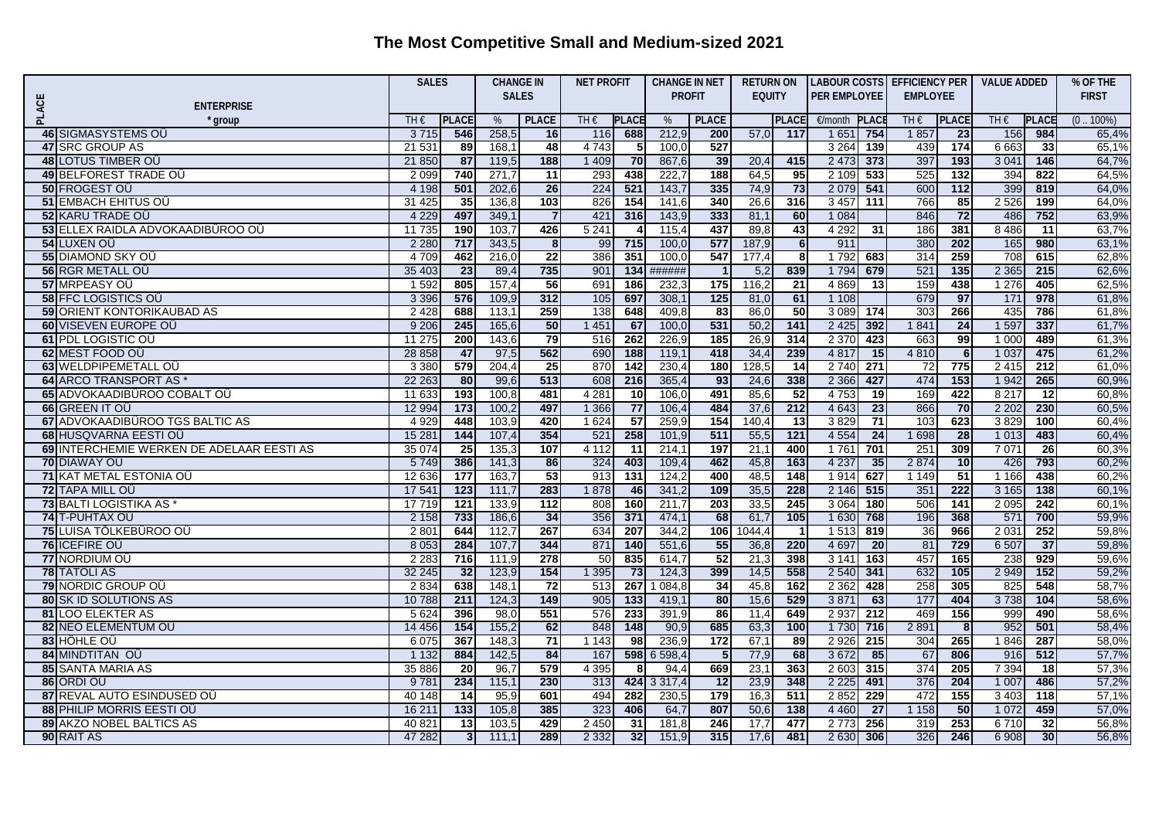|       |                                           |         | <b>SALES</b>    |              | <b>CHANGE IN</b> |         | <b>NET PROFIT</b> |               | <b>CHANGE IN NET</b> | <b>RETURN ON</b> |                 | <b>LABOUR COSTS EFFICIENCY PER</b> |                  |                 |                  | <b>VALUE ADDED</b> |                 | % OF THE     |
|-------|-------------------------------------------|---------|-----------------|--------------|------------------|---------|-------------------|---------------|----------------------|------------------|-----------------|------------------------------------|------------------|-----------------|------------------|--------------------|-----------------|--------------|
|       |                                           |         |                 | <b>SALES</b> |                  |         |                   | <b>PROFIT</b> |                      | <b>EQUITY</b>    |                 | <b>PER EMPLOYEE</b>                |                  | <b>EMPLOYEE</b> |                  |                    |                 | <b>FIRST</b> |
| PLACE | <b>ENTERPRISE</b><br><sup>'</sup> group   | TH€     | <b>PLACE</b>    | %            | <b>PLACE</b>     | TH€     | <b>PLACE</b>      | %             | <b>PLACE</b>         |                  | <b>PLACE</b>    | €/month                            | <b>PLAC</b>      | TH $\epsilon$   | <b>PLACE</b>     | TH€                | <b>PLACE</b>    | $(0.100\%)$  |
|       | 46 SIGMASYSTEMS OU                        | 3 7 1 5 | 546             | 258,5        | 16               | 116     | 688               | 212,9         | 200                  | 57,0             | 117             | 1 6 5 1                            | 754              | 1857            | 23               | 156                | 984             | 65,4%        |
|       | 47 SRC GROUP AS                           | 21 531  | 89              | 168,1        | 48               | 4 7 4 3 | -5                | 100,0         | 527                  |                  |                 | 3 2 6 4                            | 139              | 439             | 174              | 6 6 63             | 33              | 65,1%        |
|       | 48 LOTUS TIMBER OU                        | 21 850  | 87              | 119,5        | 188              | 1 4 0 9 | 70                | 867,6         | 39                   | 20,4             | 415             | 2 4 7 3                            | 373              | 397             | 193              | 3 0 4 1            | 146             | 64,7%        |
|       | 49 BELFOREST TRADE OU                     | 2 0 9 9 | 740             | 271,7        | 11               | 293     | 438               | 222,7         | 188                  | 64,5             | 95              | 2 1 0 9                            | 533              | 525             | 132              | 394                | 822             | 64,5%        |
|       | 50 FROGEST OU                             | 4 1 9 8 | 501             | 202,6        | 26               | 224     | 521               | 143,7         | 335                  | 74,9             | 73              | 2 0 7 9                            | 541              | 600             | $\overline{112}$ | 399                | 819             | 64,0%        |
|       | 51 EMBACH EHITUS OÜ                       | 31 4 25 | 35              | 136,8        | 103              | 826     | 154               | 141,6         | 340                  | 26,6             | 316             | 3457                               | 111              | 766             | 85               | 2 5 2 6            | 199             | 64,0%        |
|       | <b>52 KARU TRADE OÜ</b>                   | 4 2 2 9 | 497             | 349,1        | $\overline{7}$   | 421     | 316               | 143,9         | 333                  | 81,1             | 60              | 1 0 8 4                            |                  | 846             | 72               | 486                | 752             | 63,9%        |
|       | 53 ELLEX RAIDLA ADVOKAADIBÜROO OÜ         | 11 735  | 190             | 103,7        | 426              | 5 2 4 1 | 4                 | 115,4         | 437                  | 89,8             | 43              | 4 2 9 2                            | 31               | 186             | 381              | 8 4 8 6            | 11              | 63,7%        |
|       | <b>54 LUXEN OU</b>                        | 2 2 8 0 | 717             | 343,5        | 8                | 99      | 715               | 100,0         | 577                  | 187,9            | 6               | 911                                |                  | 380             | 202              | 165                | 980             | 63,1%        |
|       | 55 DIAMOND SKY OÜ                         | 4 7 0 9 | 462             | 216,0        | 22               | 386     | 351               | 100,0         | 547                  | 177,4            | 8               | 1792                               | 683              | 314             | 259              | 708                | 615             | 62,8%        |
|       | 56 RGR METALL OU                          | 35 403  | $\overline{23}$ | 89,4         | 735              | 901     | 134               | ######        | $\overline{1}$       | 5,2              | 839             | 1 7 9 4                            | 679              | 521             | 135              | 2 3 6 5            | 215             | 62,6%        |
|       | 57 MRPEASY OU                             | 1 5 9 2 | 805             | 157,4        | 56               | 691     | 186               | 232,3         | 175                  | 116,2            | $\overline{21}$ | 4 8 6 9                            | 13               | 159             | 438              | 1 2 7 6            | 405             | 62,5%        |
|       | <b>58 FFC LOGISTICS OU</b>                | 3 3 9 6 | 576             | 109,9        | 312              | 105     | 697               | 308,1         | $125$                | 81,0             | 61              | 1 1 0 8                            |                  | 679             | 97               | 171                | 978             | 61,8%        |
|       | <b>59 ORIENT KONTORIKAUBAD AS</b>         | 2 4 2 8 | 688             | 113,1        | 259              | 138     | 648               | 409,8         | 83                   | 86,0             | 50              | 3 0 8 9                            | 174              | 303             | 266              | 435                | 786             | 61,8%        |
|       | 60 VISEVEN EUROPE OÜ                      | 9 2 0 6 | 245             | 165,6        | 50               | 1 4 5 1 | 67                | 100,0         | 531                  | 50,2             | $141$           | 2 4 2 5                            | 392              | 1841            | 24               | 1 5 9 7            | 337             | 61,7%        |
|       | 61 PDL LOGISTIC OU                        | 11 275  | 200             | 143,6        | 79               | 516     | 262               | 226,9         | 185                  | 26,9             | 314             | 2 3 7 0                            | 423              | 663             | 99               | 1 0 0 0            | 489             | 61,3%        |
|       | 62 MEST FOOD OU                           | 28 858  | 47              | 97,5         | 562              | 690     | $\frac{1}{188}$   | 119,1         | 418                  | 34,4             | 239             | 4 8 1 7                            | 15               | 4 8 1 0         | 6                | 1 0 3 7            | 475             | 61,2%        |
|       | 63 WELDPIPEMETALL OU                      | 3 3 8 0 | 579             | 204,4        | 25               | 870     | 142               | 230,4         | 180                  | 128,5            | 14              | 2740                               | 271              | 72              | 775              | 2 4 1 5            | 212             | 61,0%        |
|       | 64 ARCO TRANSPORT AS *                    | 22 263  | 80              | 99,6         | 513              | 608     | 216               | 365,4         | 93                   | 24,6             | 338             | 2 3 6 6                            | 427              | 474             | 153              | 1 9 4 2            | 265             | 60,9%        |
|       | 65 ADVOKAADIBÜROO COBALT OÜ               | 11 633  | 193             | 100,8        | 481              | 4 2 8 1 | $\overline{10}$   | 106,0         | 491                  | 85,6             | $\overline{52}$ | 4 7 5 3                            | 19               | 169             | 422              | 8 2 17             | 12              | 60,8%        |
|       | 66 GREEN IT OU                            | 12 9 94 | 173             | 100,2        | 497              | 1 3 6 6 | 77                | 106,4         | 484                  | 37,6             | 212             | 4 6 4 3                            | 23               | 866             | 70               | 2 2 0 2            | 230             | 60,5%        |
|       | 67 ADVOKAADIBÜROO TGS BALTIC AS           | 4 9 2 9 | 448             | 103,9        | 420              | 1 6 2 4 | $\overline{57}$   | 259,9         | 154                  | 140,4            | $\overline{13}$ | 3829                               | $\overline{71}$  | 103             | 623              | 3829               | 100             | 60,4%        |
|       | 68 HUSQVARNA EESTI OÜ                     | 15 281  | 144             | 107,4        | 354              | 521     | 258               | 101,9         | 511                  | 55,5             | $121$           | 4 5 5 4                            | 24               | 1 6 9 8         | 28               | 1 0 1 3            | 483             | 60,4%        |
|       | 69 INTERCHEMIE WERKEN DE ADELAAR EESTI AS | 35 0 74 | 25              | 135,3        | 107              | 4 1 1 2 | 11                | 214,1         | 197                  | 21,1             | 400             | 1761                               | 701              | 251             | 309              | 7 0 7 1            | $\overline{26}$ | 60,3%        |
|       | <b>70 DIAWAY OÜ</b>                       | 5749    | 386             | 141,3        | 86               | 324     | 403               | 109,4         | 462                  | 45,8             | 163             | 4 2 3 7                            | 35               | 2874            | 10               | 426                | 793             | 60,2%        |
|       | <b>71 KAT METAL ESTONIA OÜ</b>            | 12 636  | 177             | 163,7        | 53               | 913     | 131               | 124,2         | 400                  | 48,5             | 148             | 1914                               | 627              | 1 1 4 9         | $\overline{51}$  | 1 1 6 6            | 438             | 60,2%        |
|       | 72 TAPA MILL OÜ                           | 17 541  | 123             | 111,7        | 283              | 1878    | 46                | 341,2         | 109                  | 35,5             | 228             | 2 1 4 6                            | 515              | 351             | $\overline{222}$ | 3 1 6 5            | 138             | 60,1%        |
|       | 73 BALTI LOGISTIKA AS                     | 17 719  | 121             | 133,9        | $\overline{112}$ | 808     | 160               | 211,7         | 203                  | 33,5             | 245             | 3 0 6 4                            | 180              | 506             | 141              | 2 0 9 5            | 242             | 60,1%        |
|       | 74 T-PUHTAX OÜ                            | 2 1 5 8 | 733             | 186,6        | 34               | 356     | 371               | 474,1         | 68                   | 61,7             | $105$           | 1 6 3 0                            | 768              | 196             | 368              | 571                | 700             | 59,9%        |
|       | 75 LUISA TÖLKEBÜROO OÜ                    | 2 8 0 1 | 644             | 112,7        | 267              | 634     | 207               | 344,2         | 106                  | 1044,4           | $\overline{1}$  | 1 5 1 3                            | 819              | 36              | 966              | 2 0 31             | 252             | 59,8%        |
|       | 76 ICEFIRE OU                             | 8 0 5 3 | 284             | 107,7        | 344              | 871     | 140               | 551,6         | 55                   | 36,8             | 220             | 4 6 9 7                            | 20               | 81              | 729              | 6 507              | 37              | 59,8%        |
|       | 77 NORDIUM OÜ                             | 2 2 8 3 | 716             | 111.9        | 278              | 50      | 835               | 614,7         | $\overline{52}$      | 21,3             | 398             | 3141                               | 163              | 457             | 165              | 238                | 929             | 59,6%        |
|       | <b>78 TATOLI AS</b>                       | 32 245  | 32              | 123,9        | 154              | 1 3 9 5 | 73                | 124,3         | 399                  | 14,5             | 558             | 2 5 4 0                            | 341              | 632             | 105              | 2 9 4 9            | 152             | 59,2%        |
|       | <b>79 NORDIC GROUP OU</b>                 | 2834    | 638             | 148,1        | $\overline{72}$  | 513     | 267               | 084,8         | 34                   | 45,8             | 162             | 2 3 6 2                            | 428              | 258             | 305              | 825                | 548             | 58,7%        |
|       | <b>80 SK ID SOLUTIONS AS</b>              | 10788   | 211             | 124,3        | 149              | 905     | 133               | 419,1         | 80                   | 15,6             | 529             | 3871                               | 63               | 177             | 404              | 3738               | 104             | 58,6%        |
|       | 81 LOO ELEKTER AS                         | 5 6 2 4 | 396             | 98,0         | 551              | 576     | 233               | 391,9         | 86                   | 11,4             | 649             | 2 9 3 7                            | $\overline{212}$ | 469             | 156              | 999                | 490             | 58,6%        |
|       | 82 NEO ELEMENTUM OÙ                       | 14 45 6 | 154             | 155,2        | 62               | 848     | 148               | 90,9          | 685                  | 63,3             | 100             | 1 7 3 0                            | 716              | 2 8 9 1         | 8                | 952                | 501             | 58,4%        |
|       | 83 HÖHLE OÜ                               | 6 0 7 5 | 367             | 148,3        | 71               | 1 1 4 3 | 98                | 236,9         | 172                  | 67,1             | 89              | 2 9 2 6                            | 215              | 304             | 265              | 1846               | 287             | 58,0%        |
|       | 84 MINDTITAN OU                           | 1 1 3 2 | 884             | 142,5        | 84               | 167     | 598               | 6 598,4       | $5 \overline{5}$     | 77,9             | 68              | 3672                               | 85               | 67              | 806              | 916                | 512             | 57,7%        |
|       | 85 SANTA MARIA AS                         | 35 886  | 20              | 96,7         | 579              | 4 3 9 5 | 8                 | 94,4          | 669                  | 23,1             | 363             | 2 6 0 3                            | 315              | 374             | 205              | 7 3 9 4            | 18              | 57,3%        |
|       | 86 ORDI OÜ                                | 9781    | 234             | 115,1        | 230              | 313     | 424               | 3 3 1 7 4     | 12                   | 23,9             | 348             | 2 2 2 5                            | 491              | 376             | 204              | 1 0 0 7            | 486             | 57,2%        |
|       | 87 REVAL AUTO ESINDUSED OU                | 40 148  | -14             | 95,9         | 601              | 494     | 282               | 230,5         | 179                  | 16,3             | 511             | 2852                               | 229              | 472             | 155              | 3 4 0 3            | 118             | 57,1%        |
|       | 88 PHILIP MORRIS EESTI OÜ                 | 16 211  | 133             | 105,8        | 385              | 323     | 406               | 64,7          | 807                  | 50,6             | 138             | 4 4 6 0                            | 27               | 1 1 5 8         | 50               | 1 0 7 2            | 459             | 57,0%        |
|       | <b>89 AKZO NOBEL BALTICS AS</b>           | 40 821  | 13              | 103,5        | 429              | 2 4 5 0 | 31                | 181,8         | 246                  | 17,7             | 477             | 2773                               | 256              | 319             | 253              | 6710               | 32              | 56,8%        |
|       | 90 RAIT AS                                | 47 282  | 3 <sub>l</sub>  | 111,1        | 289              | 2 3 3 2 | 32                | 151,9         | 315                  | 17.6             | 481             | 2630                               | 306              | 326             | 246              | 6 9 0 8            | 30 <sub>1</sub> | 56,8%        |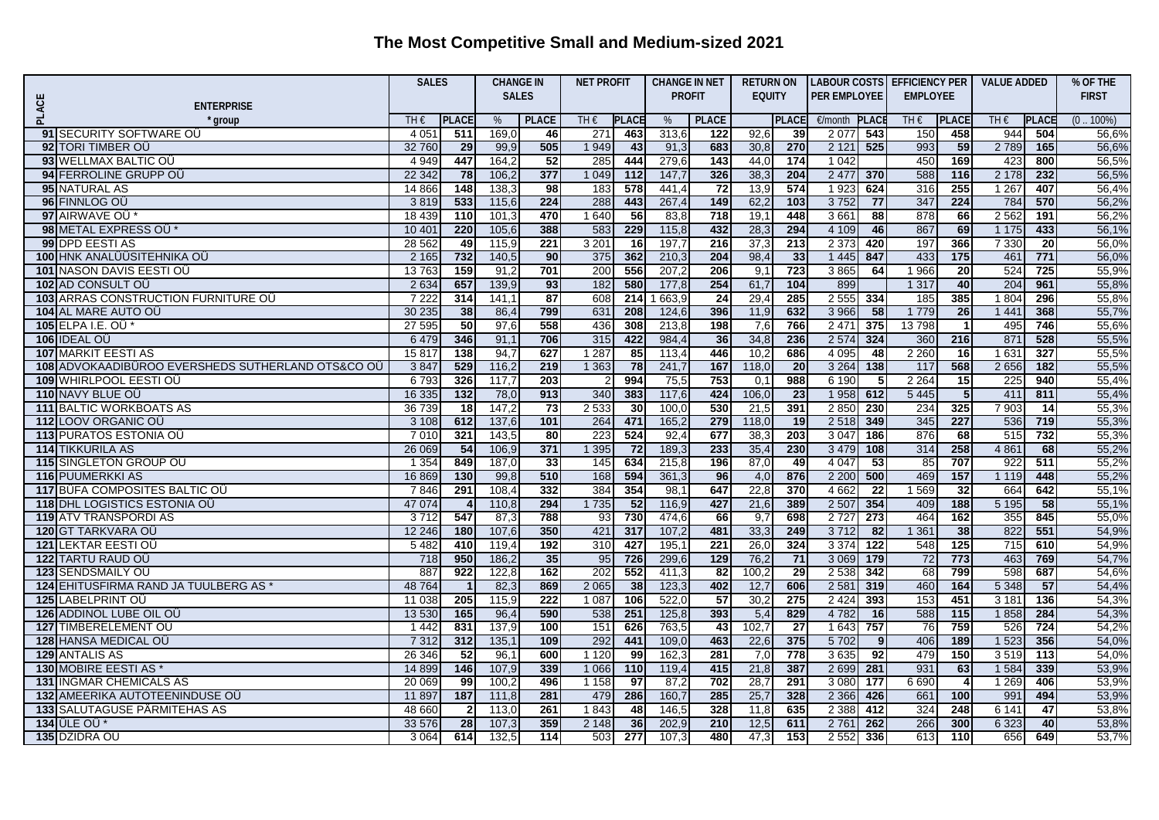|                                                            | <b>SALES</b>     |                       | <b>CHANGE IN</b> |                 | <b>NET PROFIT</b> |                        | <b>CHANGE IN NET</b> |                 | <b>RETURN ON</b> |                 |                     |                  | LABOUR COSTS EFFICIENCY PER |                         | <b>VALUE ADDED</b> | % OF THE     |                |
|------------------------------------------------------------|------------------|-----------------------|------------------|-----------------|-------------------|------------------------|----------------------|-----------------|------------------|-----------------|---------------------|------------------|-----------------------------|-------------------------|--------------------|--------------|----------------|
| PLACE<br><b>ENTERPRISE</b>                                 |                  |                       |                  | <b>SALES</b>    |                   |                        |                      | <b>PROFIT</b>   |                  | <b>EQUITY</b>   | <b>PER EMPLOYEE</b> |                  | <b>EMPLOYEE</b>             |                         |                    |              | <b>FIRST</b>   |
| * aroup                                                    | TH€              | <b>PLACE</b>          | %                | <b>PLACE</b>    | $TH \in$          | <b>PLACE</b>           | %                    | <b>PLACE</b>    |                  | <b>PLACE</b>    | €/month             | PLACI            | TH€                         | <b>PLACE</b>            | $TH \in$           | <b>PLACE</b> | $(0.100\%)$    |
| 91 SECURITY SOFTWARE OU                                    | 4 0 5 1          | 511                   | 169,0            | 46              | 271               | 463                    | 313,6                | 122             | 92,6             | 39              | 2077                | 543              | 150                         | 458                     | 944                | 504          | 56,6%          |
| 92 TORI TIMBER OU                                          | 32 760           | 29                    | 99.9             | 505             | 1 9 4 9           | 43                     | 91,3                 | 683             | 30,8             | 270             | 2 1 2 1             | 525              | 993                         | 59                      | 2789               | 165          | 56.6%          |
| 93 WELLMAX BALTIC OU                                       | 4 9 4 9          | 447                   | 164,2            | 52              | 285               | 444                    | 279,6                | 143             | 44,0             | 174             | 1 0 4 2             |                  | 450                         | 169                     | 423                | 800          | 56,5%          |
| 94 FERROLINE GRUPP OU                                      | 22 342           | 78                    | 106,2            | 377             | 1 0 4 9           | $\overline{112}$       | 147,7                | 326             | 38,3             | 204             | 2 4 7 7             | 370              | 588                         | 116                     | 2 1 7 8            | 232          | 56,5%          |
| 95 NATURAL AS                                              | 14 8 66          | 148                   | 138,3            | 98              | 183               | 578                    | 441,4                | 72              | 13,9             | 574             | 1923                | 624              | 316                         | 255                     | 1 2 6 7            | 407          | 56,4%          |
| 96 FINNLOG OU                                              | 3819             | 533                   | 115,6            | 224             | 288               | 443                    | 267,4                | 149             | 62,2             | 103             | 3752                | 77               | 347                         | 224                     | 784                | 570          | 56,2%          |
| 97 AIRWAVE OU                                              | 18 439           | $\overline{110}$      | 101,3            | 470             | 1 640             | 56                     | 83,8                 | 718             | 19,1             | 448             | 3 6 6 1             | 88               | 878                         | 66                      | 2 5 6 2            | 191          | 56,2%          |
| 98 METAL EXPRESS OU*                                       | 10 401           | 220                   | 105,6            | 388             | 583               | 229                    | 115,8                | 432             | 28,3             | 294             | 4 109               | 46               | 867                         | 69                      | 1 1 7 5            | 433          | 56,1%          |
| 99 DPD EESTI AS                                            | 28 5 62          | 49                    | 115,9            | 221             | 3 2 0 1           | 16                     | 197,7                | 216             | 37,3             | 213             | 2 3 7 3             | 420              | 197                         | 366                     | 7 3 3 0            | 20           | 56,0%          |
| 100 HNK ANALÜÜSITEHNIKA OÜ                                 | 2 1 6 5          | 732                   | 140,5            | 90              | 375               | 362                    | 210,3                | 204             | 98,4             | 33              | 1 4 4 5             | 847              | 433                         | 175                     | 461                | 771          | 56,0%          |
| 101 NASON DAVIS EESTI OÜ                                   | 13 763           | 159                   | 91,2             | 701             | 200               | 556                    | 207,2                | 206             | 9,1              | 723             | 3865                | 64               | 1 9 6 6                     | $\overline{20}$         | 524                | 725          | 55,9%          |
| 102 AD CONSULT OU                                          | 2 6 3 4          | 657                   | 139,9            | 93              | 182               | 580                    | 177.8                | 254             | 61,7             | 104             | 899                 |                  | 1 3 1 7                     | 40                      | 204                | 961          | 55,8%          |
| 103 ARRAS CONSTRUCTION FURNITURE OU                        | 7 2 2 2          | 314                   | 141,1            | 87              | 608               | 214                    | 663,9                | $\overline{24}$ | 29,4             | 285             | 2 5 5 5             | 334              | 185                         | 385                     | 1 8 0 4            | 296          | 55,8%          |
| <b>104 AL MARE AUTO OÜ</b>                                 | 30 235           | 38                    | 86,4             | 799             | 631               | 208                    | 124,6                | 396             | 11,9             | 632             | 3 9 6 6             | 58               | 1 7 7 9                     | 26                      | 1 4 4 1            | 368          | 55,7%          |
| 105 ELPA I.E. OÜ                                           | 27595            | 50                    | 97,6             | 558             | 436               | 308                    | 213,8                | 198             | 7,6              | 766             | 2 4 7 1             | 375              | 13798                       | $\overline{1}$          | 495                | 746          | 55,6%          |
| 106 IDEAL OU                                               | 6479             | 346                   | 91,1             | 706             | 315               | 422                    | 984,4                | 36              | 34,8             | 236             | 2 5 7 4             | 324              | 360                         | 216                     | 871                | 528          | 55,5%          |
| 107 MARKIT EESTI AS                                        | 15817            | 138                   | 94,7             | 627             | 1 2 8 7           | 85                     | 113,4                | 446             | 10,2             | 686             | 4 0 9 5             | 48               | 2 2 6 0                     | 16                      | 1 631              | 327          | 55,5%          |
| 108 ADVOKAADIBÜROO EVERSHEDS SUTHERLAND OTS&CO OÜ          | 3847             | 529                   | 116,2            | 219             | 1 3 6 3           | 78                     | 241,7                | 167             | 118,0            | $\overline{20}$ | 3 2 6 4             | 138              | 117                         | 568                     | 2656               | 182          | 55,5%          |
| 109 WHIRLPOOL EESTI OÜ                                     | 6 7 9 3          | 326                   | 117.7            | 203             |                   | 994                    | 75,5                 | 753             | 0,1              | 988             | 6 190               | -51              | 2 2 6 4                     | 15                      | 225                | 940          | 55,4%          |
| 110 NAVY BLUE OU                                           | 16 335           | 132                   | 78,0             | 913             | 340               | 383                    | 117,6                | 424             | 106,0            | $\overline{23}$ | 1 9 5 8             | 612              | 5 4 4 5                     | $\overline{\mathbf{5}}$ | 411                | 811          | 55,4%          |
| <b>111 BALTIC WORKBOATS AS</b>                             | 36 739           | $\overline{18}$       | 147,2            | $\overline{73}$ | 2 5 3 3           | 30                     | 100,0                | 530             | 21,5             | 391             | 2850                | 230              | 234                         | 325                     | 7 9 0 3            | 14           | 55,3%          |
| 112 LOOV ORGANIC OU                                        | 3 1 0 8          | 612                   | 137,6            | 101             | 264               | 471                    | 165,2                | 279             | 118,0            | 19              | 2518                | 349              | 345                         | 227                     | 536                | 719          | 55,3%          |
| <b>113 PURATOS ESTONIA OÜ</b>                              | 7 0 1 0          | 321                   | 143,5            | $\overline{80}$ | 223               | 524                    | 92,4                 | 677             | 38,3             | 203             | 3 0 4 7             | 186              | 876                         | 68                      | 515                | 732          | 55,3%          |
| <b>114 TIKKURILA AS</b>                                    | 26 069           | 54                    | 106,9            | 371             | 1 3 9 5           | 72                     | 189,3                | 233             | 35,4             | 230             | 3 4 7 9             | 108              | 314                         | 258                     | 4861               | 68           | 55,2%          |
| <b>115 SINGLETON GROUP OU</b>                              | 1 3 5 4          | 849                   | 187,0            | 33              | 145               | 634                    | 215,8                | 196             | 87,0             | 49              | 4 0 4 7             | 53               | 85                          | 707                     | 922                | 511          | 55,2%          |
| 116 PUUMERKKI AS                                           | 16 869           | 130                   | 99,8             | 510             | 168               | 594                    | 361,3                | 96              | 4,0              | 876             | 2 2 0 0             | 500              | 469                         | 157                     | 1 1 1 9            | 448          | 55,2%          |
| 117 BÜFA COMPOSITES BALTIC OU                              | 7846             | 291                   | 108,4            | 332             | 384               | 354                    | 98,1                 | 647             | 22,8             | 370             | 4 6 6 2             | 22               | 1569                        | 32                      | 664                | 642          | 55,1%          |
| <b>118 DHL LOGISTICS ESTONIA OU</b>                        | 47 074           |                       | 110,8            | 294             | 1 7 3 5           | 52                     | 116,9                | 427             | 21,6             | 389             | 2 5 0 7             | 354              | 409                         | 188                     | 5 1 9 5            | 58           | 55,1%          |
| <b>119 ATV TRANSPORDI AS</b>                               | 3712             | 547                   | 87,3             | 788             | 93                | 730                    | 474,6                | 66              | 9,7              | 698             | 2727                | 273              | 464                         | 162                     | 355                | 845          | 55,0%          |
| 120 GT TARKVARA OÜ                                         | 12 24 6          | 180                   | 107,6            | 350             | 421               | 317                    | 107,2                | 481             | 33,3             | 249             | 3712                | 82               | 1 3 6 1                     | 38                      | 822                | 551          | 54,9%          |
| 121 LEKTAR EESTI OÜ                                        | 5482             | 410                   | 119,4            | 192             | 310               | 427                    | 195,1                | 221             | 26,0             | 324             | 3 3 7 4             | $\overline{122}$ | 548                         | 125                     | $\overline{715}$   | 610          | 54,9%          |
| <b>122 TARTU RAUD OÜ</b>                                   | 718              | 950                   | 186,2            | 35              | 95                | 726                    | 299,6                | 129             | 76,2             | $\overline{71}$ | 3 0 6 9             | 179              | 72                          | 773                     | 463                | 769          | 54,7%          |
| 123 SENDSMAILY OU                                          | 887              | 922                   | 122,8            | 162             | 202               | 552                    | 411,3                | 82              | 100,2            | 29              | 2 5 3 8             | 342              | 68                          | 799                     | 598                | 687          | 54,6%          |
| 124 EHITUSFIRMA RAND JA TUULBERG AS                        | 48 764           |                       | 82,3             | 869             | 2 0 6 5           | 38                     | 123,3                | 402             | 12,7             | 606             | 2 5 8 1             | 319              | 460                         | 164                     | 5 3 4 8            | 57           | 54,4%          |
| <b>125 LABELPRINT OU</b>                                   | 11 038           | 205                   | 115,9            | 222             | 1 0 8 7           | 106                    | 522,0                | 57              | 30,2             | 275             | 2 4 2 4             | 393              | 153                         | 451                     | 3 1 8 1            | 136          | 54,3%          |
| 126 ADDINOL LUBE OIL OU                                    | 13 530           | 165                   | 96,4             | 590             | 538               | 251                    | 125,8                | 393             | 5,4              | 829             | 4 7 8 2             | 16               | 588                         | 115                     | 1858               | 284          | 54,3%          |
| 127 TIMBERELEMENT OU                                       | 1442             | 831                   | 137,9            | 100             | 151               | 626                    | 763,5                | 43              | 102,7            | $\overline{27}$ | 1 6 4 3             | 757              | 76                          | 759                     | 526                | 724          | 54,2%          |
| 128 HANSA MEDICAL OU                                       | 7 3 1 2          | 312                   | 135,1            | 109             | 292               | 441                    | 109,0                | 463             | 22,6             | 375             | 5702                | 9                | 406                         | 189                     | 1 5 2 3            | 356          | 54,0%          |
| 129 ANTALIS AS                                             | 26 34 6          | 52                    | 96,1             | 600             | 1120              | 99                     | 162,3                | 281             | 7,0              | 778             | 3635                | 92               | 479                         | 150                     | 3519               | 113          | 54,0%          |
| 130 MOBIRE EESTI AS                                        | 14 8 9 9         | 146                   | 107,9            | 339             | 1 0 6 6           | 110                    | 119,4                | 415             | 21,8             | 387             | 2 6 9 9             | 281              | 931                         | 63                      | 1 5 8 4            | 339          | 53,9%          |
| <b>131 INGMAR CHEMICALS AS</b>                             | 20 069           | 99                    | 100,2            | 496             | 1 1 5 8           | 97                     | 87,2                 | 702             | 28,7             | 291             | 3 0 8 0             | 177              | 6 6 9 0                     | $\overline{4}$          | 1 2 6 9            | 406          | 53,9%          |
| 132 AMEERIKA AUTOTEENINDUSE OÜ                             | 11 897<br>48 660 | 187<br>$\overline{2}$ | 111,8<br>113.0   | 281<br>261      | 479<br>1843       | 286<br>48              | 160,7                | 285<br>328      | 25,7             | 328<br>635      | 2 3 6 6             | 426<br>412       | 661<br>324                  | 100<br>248              | 991<br>6 1 4 1     | 494<br>47    | 53,9%<br>53.8% |
| <b>133 SALUTAGUSE PÄRMITEHAS AS</b><br>134 <b>ÜLE OÜ</b> * | 33 576           | 28                    | 107,3            | 359             |                   |                        | 146,5<br>202,9       | 210             | 11,8<br>12,5     | 611             | 2 3 8 8             | 262              | 266                         | 300                     | 6 3 2 3            | 40           |                |
|                                                            | 3 0 6 4          | 614                   | 132.5            | 114             | 2 1 4 8<br>503    | 36<br>$\overline{277}$ |                      | 480             | 47,3             | 153             | 2761<br>2 5 5 2     | 336              | 613                         | 110                     | 656                | 649          | 53,8%          |
| 135 DZIDRA OÜ                                              |                  |                       |                  |                 |                   |                        | 107,3                |                 |                  |                 |                     |                  |                             |                         |                    |              | 53,7%          |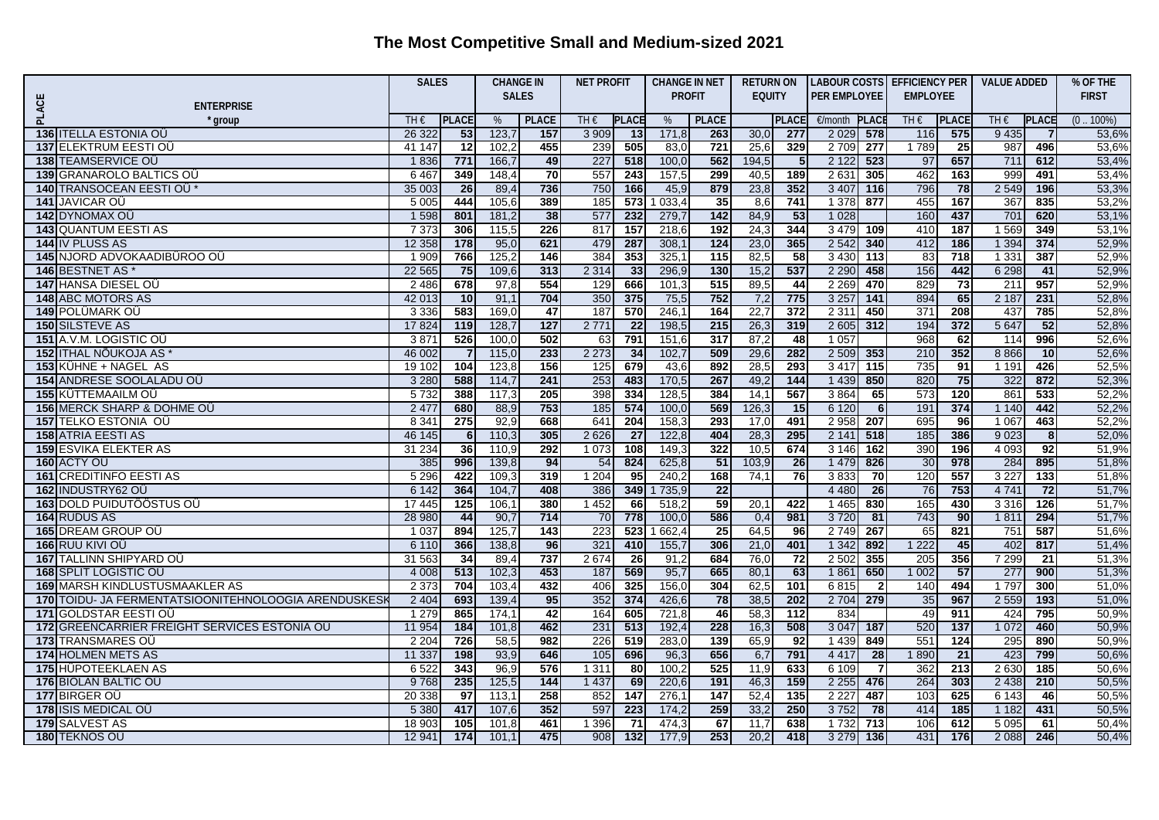|                                                                                                    |                 | <b>SALES</b>    |                | <b>CHANGE IN</b> | <b>NET PROFIT</b> |                  | <b>CHANGE IN NET</b> |                  | <b>RETURN ON</b> |                 |                     |                 | LABOUR COSTS EFFICIENCY PER |                  | <b>VALUE ADDED</b> |                | % OF THE       |
|----------------------------------------------------------------------------------------------------|-----------------|-----------------|----------------|------------------|-------------------|------------------|----------------------|------------------|------------------|-----------------|---------------------|-----------------|-----------------------------|------------------|--------------------|----------------|----------------|
| PLACE<br><b>ENTERPRISE</b>                                                                         |                 |                 | <b>SALES</b>   |                  |                   |                  | <b>PROFIT</b>        |                  | <b>EQUITY</b>    |                 | <b>PER EMPLOYEE</b> |                 | <b>EMPLOYEE</b>             |                  |                    |                | <b>FIRST</b>   |
| * group                                                                                            | TH€             | <b>PLACE</b>    | %              | <b>PLACE</b>     | TH€               | <b>PLACE</b>     | %                    | <b>PLACE</b>     |                  | <b>PLACE</b>    | €/month             | <b>PLACI</b>    | TH€                         | <b>PLACE</b>     | TH $\epsilon$      | <b>PLACE</b>   | $(0.100\%)$    |
| 136 ITELLA ESTONIA OÜ                                                                              | 26 322          | 53              | 123,7          | 157              | 3 9 0 9           | 13               | 171,8                | 263              | 30,0             | 277             | 2 0 2 9             | 578             | 116                         | 575              | 9 4 3 5            | $\overline{7}$ | 53,6%          |
| <b>137 ELEKTRUM EESTI OÜ</b>                                                                       | 41 147          | $\overline{12}$ | 102,2          | 455              | 239               | 505              | 83,0                 | 721              | 25,6             | 329             | 2 7 0 9             | 277             | 1789                        | $\overline{25}$  | 987                | 496            | 53,6%          |
| 138 TEAMSERVICE OU                                                                                 | 1836            | 771             | 166,7          | 49               | 227               | 518              | 100,0                | 562              | 194,5            | 5               | 2 1 2 2             | 523             | 97                          | 657              | 711                | 612            | 53,4%          |
| 139 GRANAROLO BALTICS OU                                                                           | 6467            | 349             | 148,4          | 70               | 557               | $\overline{243}$ | 157,5                | 299              | 40,5             | 189             | 2631                | 305             | 462                         | 163              | 999                | 491            | 53,4%          |
| 140 TRANSOCEAN EESTI OÜ                                                                            | 35 003          | 26              | 89,4           | 736              | 750               | 166              | 45,9                 | 879              | 23,8             | 352             | 3 4 0 7             | 116             | 796                         | 78               | 2 5 4 9            | 196            | 53,3%          |
| <b>141 JAVICAR OÜ</b>                                                                              | 5 0 0 5         | 444             | 105.6          | 389              | 185               | 573              | 1 033,4              | 35               | 8,6              | 741             | 1 3 7 8             | 877             | 455                         | 167              | 367                | 835            | 53,2%          |
| 142 DYNOMAX OÜ                                                                                     | 1 5 9 8         | 801             | 181,2          | 38               | 577               | 232              | 279,7                | $142$            | 84,9             | $-53$           | 1 0 28              |                 | 160                         | 437              | 701                | 620            | 53,1%          |
| <b>143 QUANTUM EESTI AS</b>                                                                        | 7 3 7 3         | 306             | 115,5          | 226              | 817               | $\overline{157}$ | 218,6                | $\overline{192}$ | 24,3             | 344             | 3 4 7 9             | 109             | 410                         | $\overline{187}$ | 1569               | 349            | 53,1%          |
| 144 IV PLUSS AS                                                                                    | 12 358          | 178             | 95,0           | 621              | 479               | 287              | 308,1                | $\overline{124}$ | 23,0             | 365             | 2 5 4 2             | 340             | 412                         | 186              | 1 3 9 4            | 374            | 52,9%          |
| 145 NJORD ADVOKAADIBÜROO OÜ                                                                        | 1 9 0 9         | 766             | 125,2          | 146              | 384               | 353              | 325,1                | $\overline{115}$ | 82,5             | $\overline{58}$ | 3 4 3 0             | 113             | 83                          | $\overline{718}$ | 1 3 3 1            | 387            | 52,9%          |
| <b>146 BESTNET AS *</b>                                                                            | 22 5 65         | 75              | 109,6          | 313              | 2 3 1 4           | 33               | 296,9                | 130              | 15,2             | 537             | 2 2 9 0             | 458             | 156                         | 442              | 6 2 9 8            | 41             | 52,9%          |
| <b>147 HANSA DIESEL OU</b>                                                                         | 2 4 8 6         | 678             | 97,8           | 554              | 129               | 666              | 101,3                | 515              | 89,5             | 44              | 2 2 6 9             | 470             | 829                         | $\overline{73}$  | 211                | 957            | 52,9%          |
| <b>148 ABC MOTORS AS</b>                                                                           | 42 013          | 10              | 91,1           | 704              | 350               | 375              | 75,5                 | 752              | 7,2              | 775             | 3 2 5 7             | 141             | 894                         | 65               | 2 1 8 7            | 231            | 52,8%          |
| <b>149 POLÜMARK OÜ</b>                                                                             | 3 3 3 6         | 583             | 169,0          | 47               | 187               | 570              | 246,1                | 164              | 22,7             | 372             | 2 3 1 1             | 450             | 371                         | 208              | 437                | 785            | 52,8%          |
| <b>150 SILSTEVE AS</b>                                                                             | 17 824          | 119             | 128,7          | 127              | 2 7 7 1           | $\overline{22}$  | 198,5                | 215              | 26,3             | 319             | 2 6 0 5             | 312             | 194                         | 372              | 5 6 4 7            | 52             | 52,8%          |
| 151 A.V.M. LOGISTIC OU                                                                             | 3.87'           | 526             | 100.0          | 502              | 63                | 791              | 151,6                | $\overline{317}$ | 87,2             | 48              | 1 0 5 7             |                 | 968                         | 62               | 114                | 996            | 52,6%          |
| 152 ITHAL NÕUKOJA AS                                                                               | 46 002          |                 | 115,0          | 233              | 2 2 7 3           | 34               | 102,7                | 509              | 29,6             | 282             | 2 5 0 9             | 353             | 210                         | 352              | 8866               | 10             | 52,6%          |
| 153 KÜHNE + NAGEL AS                                                                               | 19 10 2         | 104             | 123,8          | 156              | 125               | 679              | 43,6                 | 892              | 28,5             | 293             | 3417                | 115             | 735                         | 91               | 1 1 9 1            | 426            | 52,5%          |
| <b>154 ANDRESE SOOLALADU OÜ</b>                                                                    | 3 2 8 0         | 588             | 114.7          | 241              | 253               | 483              | 170,5                | 267              | 49,2             | 144             | 1 4 3 9             | 850             | 820                         | 75               | 322                | 872            | 52,3%          |
| <b>155 KÜTTEMAAILM OÜ</b>                                                                          | 5 7 3 2         | 388             | 117,3          | 205              | 398               | 334              | 128,5                | 384              | 14,1             | 567             | 3864                | 65              | 573                         | 120              | 861                | 533            | 52,2%          |
| 156 MERCK SHARP & DOHME OU                                                                         | 2 4 7 7         | 680             | 88,9           | 753              | 185               | 574              | 100,0                | 569              | 126,3            | $\overline{15}$ | 6 1 2 0             | 6 <sup>1</sup>  | 191                         | 374              | 1 1 4 0            | 442            | 52,2%          |
| 157 TELKO ESTONIA OÜ                                                                               | 8 3 4           | 275             | 92,9           | 668              | 641               | 204              | 158,3                | 293              | 17,0             | 491             | 2 9 5 8             | 207             | 695                         | 96               | 1 0 6 7            | 463            | 52,2%          |
| <b>158 ATRIA EESTI AS</b>                                                                          | 46 145          | 6               | 110,3          | 305              | 2 6 2 6           | $\overline{27}$  | 122,8                | 404              | 28,3             | 295             | 2141                | 518             | 185                         | 386              | 9023               | 8              | 52,0%          |
| <b>159 ESVIKA ELEKTER AS</b>                                                                       | 31 234          | 36              | 110,9          | 292              | 1 0 7 3           | 108              | 149,3                | 322              | 10,5             | 674             | 3 1 4 6             | $\frac{1}{162}$ | 390                         | 196              | 4 0 9 3            | 92             | 51,9%          |
| 160 ACTY OU                                                                                        | 385             | 996             | 139,8          | 94               | 54                | 824              | 625,8                | 51               | 103,9            | $\overline{26}$ | 1 4 7 9             | 826             | 30                          | 978              | 284                | 895            | 51,8%          |
| <b>161 CREDITINFO EESTI AS</b>                                                                     | 5 2 9 6         | 422             | 109,3          | 319              | 1204              | 95               | 240,2                | 168              | 74,1             | 76              | 3833                | 70              | 120                         | 557              | 3 2 2 7            | 133            | 51,8%          |
| 162 INDUSTRY62 OÜ                                                                                  | 6 1 4 2         | 364             | 104,7          | 408              | 386               | 349              | 1735,9               | $\overline{22}$  |                  |                 | 4 4 8 0             | 26              | 76                          | 753              | 4741               | 72             | 51,7%          |
| <b>163 DOLD PUIDUTÖÖSTUS OÜ</b>                                                                    | 17 445          | 125             | 106,1          | 380              | 1 4 5 2           | 66               | 518,2                | 59               | 20,1             | 422             | 1 4 6 5             | 830             | 165                         | 430              | 3 3 1 6            | 126            | 51,7%          |
| 164 RUDUS AS                                                                                       | 28 980          | 44              | 90,7           | 714              | 70                | 778              | 100,0                | 586              | 0,4              | 981             | 3720                | 81              | 743                         | 90               | 1811               | 294            | 51,7%          |
| 165 DREAM GROUP OU                                                                                 | 1 0 3 7         | 894             | 125,7          | 143              | 223               | 523              | 1 662,4              | 25               | 64,5             | 96              | 2749                | 267             | 65<br>1 2 2 2               | 821              | 751                | 587            | 51,6%          |
| 166 RUU KIVI OÜ                                                                                    | 6 1 1 0         | 366             | 138,8          | 96               | 321               | 410              | 155,7                | 306              | 21,0             | 401             | 1 3 4 2             | 892             |                             | 45               | 402                | 817            | 51,4%          |
| 167 TALLINN SHIPYARD OÜ                                                                            | 31 563          | 34<br>513       | 89,4           | 737              | 2674              | $\overline{26}$  | 91,2                 | 684              | 76,0             | $\overline{72}$ | 2 5 0 2             | 355             | 205                         | 356              | 7 2 9 9            | 21             | 51,3%          |
| 168 SPLIT LOGISTIC OU                                                                              | 4 0 0 8         | 704             | 102,3          | 453              | 187<br>406        | 569              | 95,7                 | 665              | 80,1             | 63              | 1861                | 650             | 1002                        | 57               | 277<br>1797        | 900            | 51,3%          |
| 169 MARSH KINDLUSTUSMAAKLER AS<br>TOIDU- JA FERMENTATSIOONITEHNOLOOGIA ARENDUSKESK<br>170 <b>l</b> | 2 3 7 3<br>2404 |                 | 103,4<br>139,4 | 432<br>95        | 352               | 325<br>374       | 156,0<br>426,6       | 304<br>78        | 62,5<br>38,5     | 101<br>202      | 6815<br>2 7 0 4     | $\overline{2}$  | 140<br>35                   | 494<br>967       | 2 5 5 9            | 300            | 51,0%          |
| 171 GOLDSTAR EESTI OÜ                                                                              | 1 2 7 9         | 693<br>865      | 174,1          | 42               | 164               | 605              | 721,8                | 46               | 58,3             | 112             | 834                 | 279             | 49                          | 911              | 424                | 193<br>795     | 51,0%<br>50,9% |
| 172 GREENCARRIER FREIGHT SERVICES ESTONIA OU                                                       | 11 954          | 184             | 101,8          | 462              | 231               | 513              | 192,4                | 228              | 16,3             | 508             | 3 0 4 7             | 187             | 520                         | 137              | 1 0 7 2            | 460            | 50.9%          |
| 173 TRANSMARES OU                                                                                  | 2 2 0 4         | 726             | 58,5           | 982              | 226               | 519              | 283,0                | 139              | 65,9             | 92              | 1 4 3 9             | 849             | 551                         | 124              | 295                | 890            | 50,9%          |
| <b>174 HOLMEN METS AS</b>                                                                          | 11 337          | 198             | 93,9           | 646              | 105               | 696              | 96,3                 | 656              | 6,7              | 791             | 4 4 1 7             | 28              | 1890                        | $\overline{21}$  | 423                | 799            | 50,6%          |
| 175 HÜPOTEEKLAEN AS                                                                                | 6 5 22          | 343             | 96,9           | 576              | 1 3 1 1           | 80               | 100,2                | 525              | 11,9             | 633             | 6 109               | $\overline{7}$  | 362                         | 213              | 2 6 3 0            | 185            | 50,6%          |
| 176 BIOLAN BALTIC OÜ                                                                               | 9768            | 235             | 125,5          | 144              | 1 4 3 7           | 69               | 220,6                | 191              | 46,3             | 159             | 2 2 5 5             | 476             | 264                         | 303              | 2 4 3 8            | 210            | 50,5%          |
| 177 BIRGER OU                                                                                      | 20 338          | 97              | 113,1          | 258              | 852               | 147              | 276,1                | 147              | 52,4             | 135             | 2 2 2 7             | 487             | 103                         | 625              | 6 1 4 3            | 46             | 50,5%          |
| 178 ISIS MEDICAL OU                                                                                | 5 3 8 0         | 417             | 107,6          | 352              | 597               | 223              | 174,2                | 259              | 33,7             | 250             | 3752                | 78              | 414                         | 185              | 1 1 8 2            | 431            | 50,5%          |
| 179 SALVEST AS                                                                                     | 18 903          | 105             | 101,8          | 461              | 1 3 9 6           | 71               | 474,3                | 67               | 11,7             | 638             | 1732                | 713             | 106                         | 612              | 5 0 9 5            | 61             | 50,4%          |
| 180 TEKNOS OÜ                                                                                      | 12 941          | 174             | 101,1          | 475              | 908               | 132              | 177,9                | 253              | 20.2             | 418             | 3 2 7 9             | 136             | 431                         | 176              | 2 0 8 8            | 246            | 50,4%          |
|                                                                                                    |                 |                 |                |                  |                   |                  |                      |                  |                  |                 |                     |                 |                             |                  |                    |                |                |